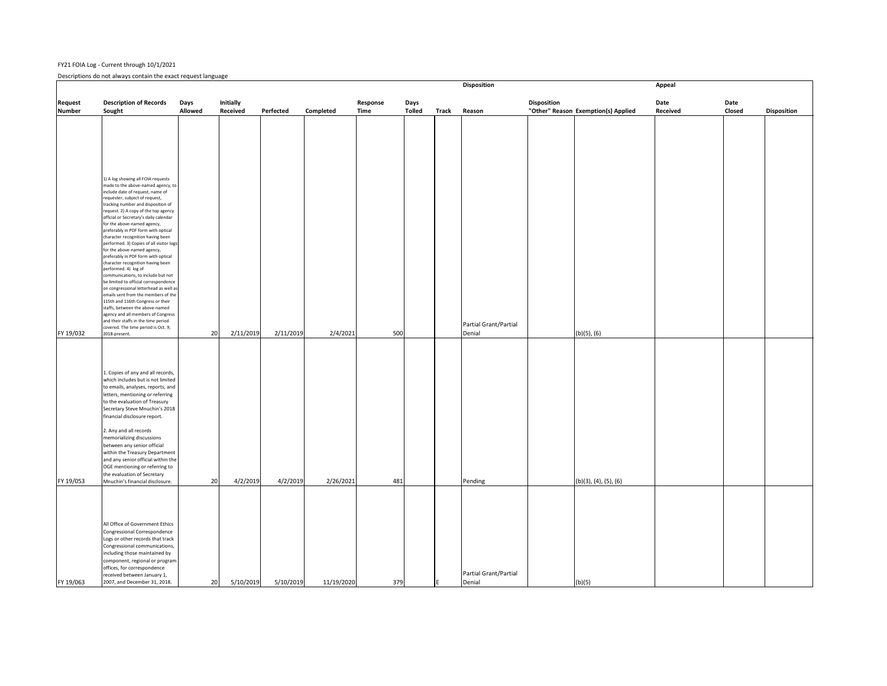## FY21 FOIA Log ‐ Current through 10/1/2021

Descriptions do not always contain the exact request language

|                | Proprietie as the attractor and online the sequence in gauge.                                                                                                                                                                                                                                                                                                                                                                                                                                                                                                                                                                                                                                                                                                                                                                                                                                                                |                |                  |           |            |             |               |              | <b>Disposition</b>              |                    |                                     | <b>Appeal</b>   |               |                    |
|----------------|------------------------------------------------------------------------------------------------------------------------------------------------------------------------------------------------------------------------------------------------------------------------------------------------------------------------------------------------------------------------------------------------------------------------------------------------------------------------------------------------------------------------------------------------------------------------------------------------------------------------------------------------------------------------------------------------------------------------------------------------------------------------------------------------------------------------------------------------------------------------------------------------------------------------------|----------------|------------------|-----------|------------|-------------|---------------|--------------|---------------------------------|--------------------|-------------------------------------|-----------------|---------------|--------------------|
|                |                                                                                                                                                                                                                                                                                                                                                                                                                                                                                                                                                                                                                                                                                                                                                                                                                                                                                                                              |                |                  |           |            |             |               |              |                                 |                    |                                     |                 |               |                    |
| <b>Request</b> | <b>Description of Records</b>                                                                                                                                                                                                                                                                                                                                                                                                                                                                                                                                                                                                                                                                                                                                                                                                                                                                                                | Days           | <b>Initially</b> |           |            | Response    | Days          |              |                                 | <b>Disposition</b> |                                     | Date            | Date          |                    |
| <b>Number</b>  | Sought                                                                                                                                                                                                                                                                                                                                                                                                                                                                                                                                                                                                                                                                                                                                                                                                                                                                                                                       | <b>Allowed</b> | <b>Received</b>  | Perfected | Completed  | <b>Time</b> | <b>Tolled</b> | <b>Track</b> | Reason                          |                    | "Other" Reason Exemption(s) Applied | <b>Received</b> | <b>Closed</b> | <b>Disposition</b> |
|                | 1) A log showing all FOIA requests<br>made to the above-named agency, to<br>include date of request, name of<br>requester, subject of request,<br>tracking number and disposition of<br>request. 2) A copy of the top agency<br>official or Secretary's daily calendar<br>for the above-named agency,<br>preferably in PDF form with optical<br>character recognition having been<br>performed. 3) Copies of all visitor logs<br>for the above-named agency,<br>preferably in PDF form with optical<br>character recognition having been<br>performed. 4) log of<br>communications, to include but not<br>be limited to official correspondence<br>on congressional letterhead as well as<br>emails sent from the members of the<br>115th and 116th Congress or their<br>staffs, between the above-named<br>agency and all members of Congress<br>and their staffs in the time period<br>covered. The time period is Oct. 9, |                |                  |           |            |             |               |              | Partial Grant/Partial           |                    |                                     |                 |               |                    |
|                |                                                                                                                                                                                                                                                                                                                                                                                                                                                                                                                                                                                                                                                                                                                                                                                                                                                                                                                              |                |                  |           |            |             |               |              |                                 |                    |                                     |                 |               |                    |
| FY 19/032      | 2018-present.                                                                                                                                                                                                                                                                                                                                                                                                                                                                                                                                                                                                                                                                                                                                                                                                                                                                                                                | 20             | 2/11/2019        | 2/11/2019 | 2/4/2021   | 500         |               |              | Denial                          |                    | $(b)(5)$ , $(6)$                    |                 |               |                    |
| FY 19/053      | 1. Copies of any and all records,<br>which includes but is not limited<br>to emails, analyses, reports, and<br>letters, mentioning or referring<br>to the evaluation of Treasury<br>Secretary Steve Mnuchin's 2018<br>financial disclosure report.<br>2. Any and all records<br>memorializing discussions<br>between any senior official<br>within the Treasury Department<br>and any senior official within the<br>OGE mentioning or referring to<br>the evaluation of Secretary<br>Mnuchin's financial disclosure.                                                                                                                                                                                                                                                                                                                                                                                                         | 20             | 4/2/2019         | 4/2/2019  | 2/26/2021  | 481         |               |              | Pending                         |                    | (b)(3), (4), (5), (6)               |                 |               |                    |
|                |                                                                                                                                                                                                                                                                                                                                                                                                                                                                                                                                                                                                                                                                                                                                                                                                                                                                                                                              |                |                  |           |            |             |               |              |                                 |                    |                                     |                 |               |                    |
| FY 19/063      | All Office of Government Ethics<br>Congressional Correspondence<br>Logs or other records that track<br>Congressional communications,<br>including those maintained by<br>component, regional or program<br>offices, for correspondence<br>received between January 1,<br>2007, and December 31, 2018.                                                                                                                                                                                                                                                                                                                                                                                                                                                                                                                                                                                                                        | 20             | 5/10/2019        | 5/10/2019 | 11/19/2020 | 379         |               |              | Partial Grant/Partial<br>Denial |                    | (b)(5)                              |                 |               |                    |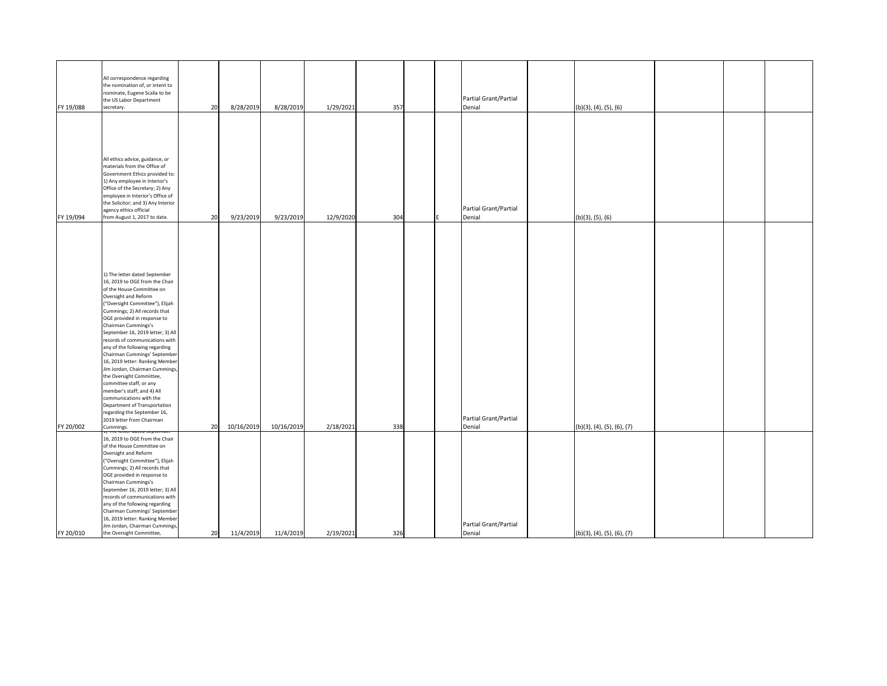| FY 19/088 | All correspondence regarding<br>the nomination of, or intent to<br>nominate, Eugene Scalia to be<br>the US Labor Department<br>secretary.                                                                                                                                                                                                                                                                                                                                                                                                                                                                                                                                                                                        | 20 | 8/28/2019  | 8/28/2019  | 1/29/2021 | 357 |  | Partial Grant/Partial<br>Denial | $(b)(3)$ , $(4)$ , $(5)$ , $(6)$ |  |  |
|-----------|----------------------------------------------------------------------------------------------------------------------------------------------------------------------------------------------------------------------------------------------------------------------------------------------------------------------------------------------------------------------------------------------------------------------------------------------------------------------------------------------------------------------------------------------------------------------------------------------------------------------------------------------------------------------------------------------------------------------------------|----|------------|------------|-----------|-----|--|---------------------------------|----------------------------------|--|--|
| FY 19/094 | All ethics advice, guidance, or<br>materials from the Office of<br>Government Ethics provided to:<br>1) Any employee in Interior's<br>Office of the Secretary; 2) Any<br>employee in Interior's Office of<br>the Solicitor; and 3) Any Interior<br>agency ethics official<br>from August 1, 2017 to date.                                                                                                                                                                                                                                                                                                                                                                                                                        | 20 | 9/23/2019  | 9/23/2019  | 12/9/2020 | 304 |  | Partial Grant/Partial<br>Denial | $(b)(3)$ , $(5)$ , $(6)$         |  |  |
| FY 20/002 | 1) The letter dated September<br>16, 2019 to OGE from the Chair<br>of the House Committee on<br>Oversight and Reform<br>("Oversight Committee"), Elijah<br>Cummings; 2) All records that<br>OGE provided in response to<br>Chairman Cummings's<br>September 16, 2019 letter; 3) All<br>records of communications with<br>any of the following regarding<br>Chairman Cummings' September<br>16, 2019 letter: Ranking Member<br>Jim Jordan, Chairman Cummings,<br>the Oversight Committee,<br>committee staff, or any<br>member's staff; and 4) All<br>communications with the<br>Department of Transportation<br>regarding the September 16,<br>2019 letter from Chairman<br>Cummings.<br><del>17 me ietter uateu september</del> | 20 | 10/16/2019 | 10/16/2019 | 2/18/2021 | 338 |  | Partial Grant/Partial<br>Denial | (b)(3), (4), (5), (6), (7)       |  |  |
| FY 20/010 | 16, 2019 to OGE from the Chair<br>of the House Committee on<br>Oversight and Reform<br>("Oversight Committee"), Elijah<br>Cummings; 2) All records that<br>OGE provided in response to<br>Chairman Cummings's<br>September 16, 2019 letter; 3) All<br>records of communications with<br>any of the following regarding<br>Chairman Cummings' September<br>16, 2019 letter: Ranking Member<br>Jim Jordan, Chairman Cummings,<br>the Oversight Committee,                                                                                                                                                                                                                                                                          | 20 | 11/4/2019  | 11/4/2019  | 2/19/2021 | 326 |  | Partial Grant/Partial<br>Denial | (b)(3), (4), (5), (6), (7)       |  |  |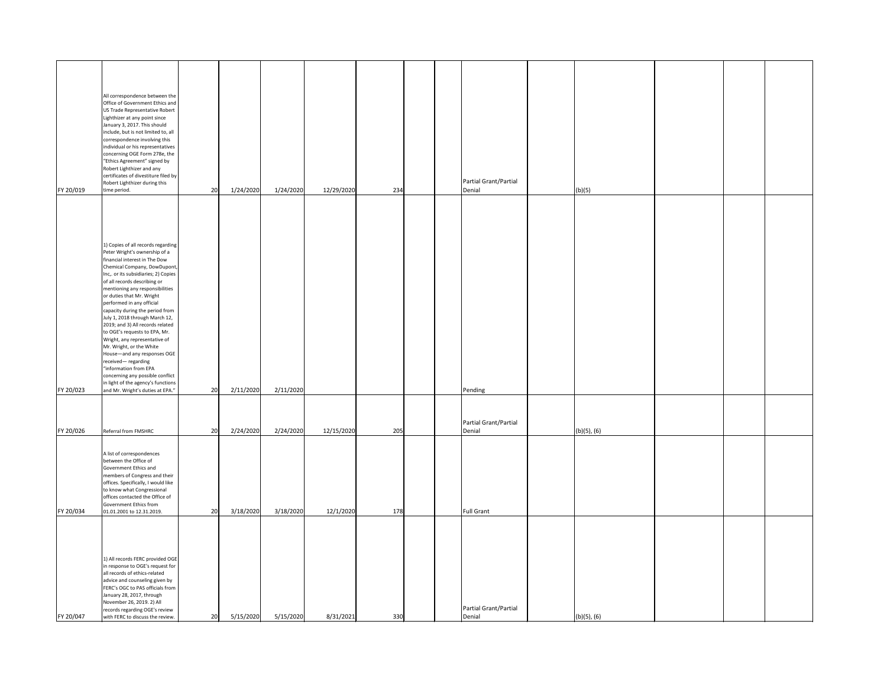| FY 20/019 | All correspondence between the<br>Office of Government Ethics and<br>US Trade Representative Robert<br>Lighthizer at any point since<br>January 3, 2017. This should<br>include, but is not limited to, all<br>correspondence involving this<br>individual or his representatives<br>concerning OGE Form 278e, the<br>"Ethics Agreement" signed by<br>Robert Lighthizer and any<br>certificates of divestiture filed by<br>Robert Lighthizer during this<br>time period.                                                                                                                                                                                                                                    | 20 | 1/24/2020 | 1/24/2020 | 12/29/2020 | 234 | Partial Grant/Partial<br>Denial | (b)(5)           |  |  |
|-----------|-------------------------------------------------------------------------------------------------------------------------------------------------------------------------------------------------------------------------------------------------------------------------------------------------------------------------------------------------------------------------------------------------------------------------------------------------------------------------------------------------------------------------------------------------------------------------------------------------------------------------------------------------------------------------------------------------------------|----|-----------|-----------|------------|-----|---------------------------------|------------------|--|--|
| FY 20/023 | 1) Copies of all records regarding<br>Peter Wright's ownership of a<br>financial interest in The Dow<br>Chemical Company, DowDupont,<br>Inc, or its subsidiaries; 2) Copies<br>of all records describing or<br>mentioning any responsibilities<br>or duties that Mr. Wright<br>performed in any official<br>capacity during the period from<br>July 1, 2018 through March 12,<br>2019; and 3) All records related<br>to OGE's requests to EPA, Mr.<br>Wright, any representative of<br>Mr. Wright, or the White<br>House-and any responses OGE<br>received-regarding<br>"information from EPA<br>concerning any possible conflict<br>in light of the agency's functions<br>and Mr. Wright's duties at EPA." | 20 | 2/11/2020 | 2/11/2020 |            |     | Pending                         |                  |  |  |
| FY 20/026 | Referral from FMSHRC                                                                                                                                                                                                                                                                                                                                                                                                                                                                                                                                                                                                                                                                                        | 20 | 2/24/2020 | 2/24/2020 | 12/15/2020 | 205 | Partial Grant/Partial<br>Denial | $(b)(5)$ , $(6)$ |  |  |
| FY 20/034 | A list of correspondences<br>between the Office of<br>Government Ethics and<br>members of Congress and their<br>offices. Specifically, I would like<br>to know what Congressional<br>offices contacted the Office of<br>Government Ethics from<br>01.01.2001 to 12.31.2019.                                                                                                                                                                                                                                                                                                                                                                                                                                 | 20 | 3/18/2020 | 3/18/2020 | 12/1/2020  | 178 | <b>Full Grant</b>               |                  |  |  |
| FY 20/047 | 1) All records FERC provided OGE<br>in response to OGE's request for<br>all records of ethics-related<br>advice and counseling given by<br>FERC's OGC to PAS officials from<br>January 28, 2017, through<br>November 26, 2019. 2) All<br>records regarding OGE's review<br>with FERC to discuss the review.                                                                                                                                                                                                                                                                                                                                                                                                 | 20 | 5/15/2020 | 5/15/2020 | 8/31/2021  | 330 | Partial Grant/Partial<br>Denial | $(b)(5)$ , $(6)$ |  |  |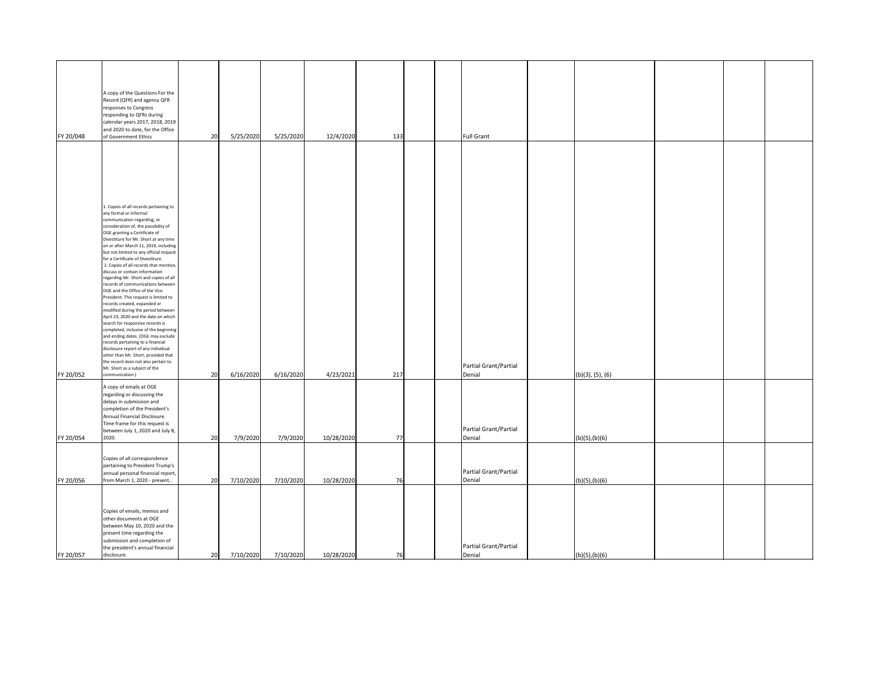| FY 20/048              | A copy of the Questions For the<br>Record (QFR) and agency QFR<br>responses to Congress<br>responding to QFRs during<br>calendar years 2017, 2018, 2019<br>and 2020 to date, for the Office<br>of Government Ethics                                                                                                                                                                                                                                                                                                                                                                                                                                                                           | 20       | 5/25/2020             | 5/25/2020             | 12/4/2020               | 133       | <b>Full Grant</b>                         |                                           |  |  |
|------------------------|-----------------------------------------------------------------------------------------------------------------------------------------------------------------------------------------------------------------------------------------------------------------------------------------------------------------------------------------------------------------------------------------------------------------------------------------------------------------------------------------------------------------------------------------------------------------------------------------------------------------------------------------------------------------------------------------------|----------|-----------------------|-----------------------|-------------------------|-----------|-------------------------------------------|-------------------------------------------|--|--|
|                        |                                                                                                                                                                                                                                                                                                                                                                                                                                                                                                                                                                                                                                                                                               |          |                       |                       |                         |           |                                           |                                           |  |  |
|                        |                                                                                                                                                                                                                                                                                                                                                                                                                                                                                                                                                                                                                                                                                               |          |                       |                       |                         |           |                                           |                                           |  |  |
|                        | 1. Copies of all records pertaining to<br>any formal or informal<br>communication regarding, or<br>consideration of, the possibility of<br>OGE granting a Certificate of<br>Divestiture for Mr. Short at any time<br>on or after March 11, 2019, including<br>but not limited to any official request<br>for a Certificate of Divestiture.<br>2. Copies of all records that mention,<br>discuss or contain information<br>regarding Mr. Short and copies of all<br>records of communications between<br>OGE and the Office of the Vice<br>President. This request is limited to<br>records created, expanded or<br>modified during the period between<br>April 23, 2020 and the date on which |          |                       |                       |                         |           |                                           |                                           |  |  |
|                        | search for responsive records is<br>completed, inclusive of the beginning<br>and ending dates. (OGE may exclude<br>records pertaining to a financial<br>disclosure report of any individual<br>other than Mr. Short, provided that<br>the record does not also pertain to<br>Mr. Short as a subject of the                                                                                                                                                                                                                                                                                                                                                                                    |          |                       |                       |                         |           | Partial Grant/Partial                     |                                           |  |  |
| FY 20/052<br>FY 20/054 | communication.)<br>A copy of emails at OGE<br>regarding or discussing the<br>delays in submission and<br>completion of the President's<br>Annual Financial Disclosure.<br>Time frame for this request is<br>between July 1, 2020 and July 8,<br>2020.                                                                                                                                                                                                                                                                                                                                                                                                                                         | 20<br>20 | 6/16/2020<br>7/9/2020 | 6/16/2020<br>7/9/2020 | 4/23/2021<br>10/28/2020 | 217<br>77 | Denial<br>Partial Grant/Partial<br>Denial | $(b)(3)$ , $(5)$ , $(6)$<br>(b)(5),(b)(6) |  |  |
| FY 20/056              | Copies of all correspondence<br>pertaining to President Trump's<br>annual personal financial report,<br>from March 1, 2020 - present                                                                                                                                                                                                                                                                                                                                                                                                                                                                                                                                                          | 20       | 7/10/2020             | 7/10/2020             | 10/28/2020              | 76        | Partial Grant/Partial<br>Denial           | (b)(5),(b)(6)                             |  |  |
| FY 20/057              | Copies of emails, memos and<br>other documents at OGE<br>between May 10, 2020 and the<br>present time regarding the<br>submission and completion of<br>the president's annual financial<br>disclosure.                                                                                                                                                                                                                                                                                                                                                                                                                                                                                        | 20       | 7/10/2020             | 7/10/2020             | 10/28/2020              | 76        | Partial Grant/Partial<br>Denial           | (b)(5),(b)(6)                             |  |  |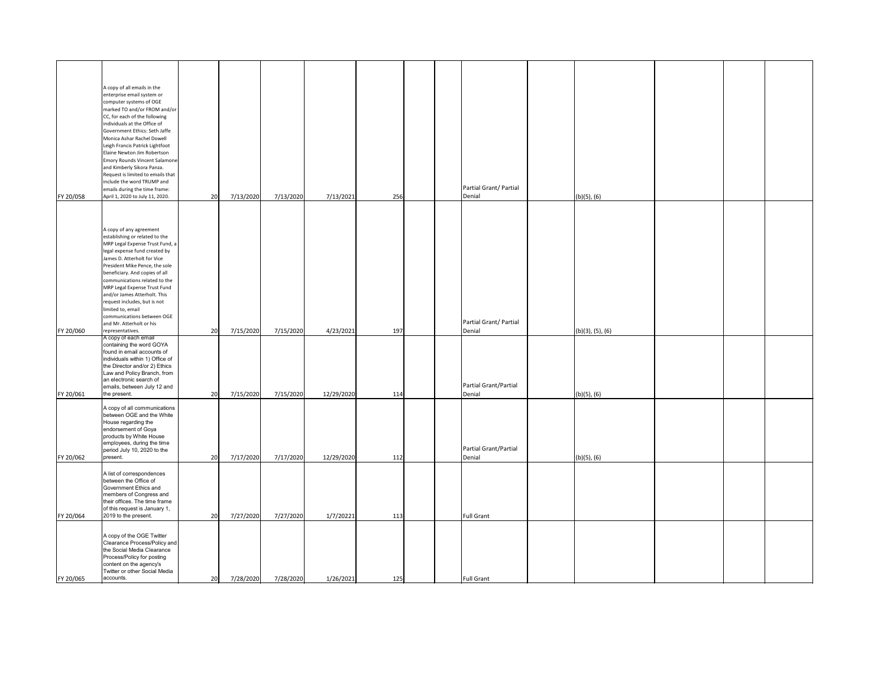|           | A copy of all emails in the<br>enterprise email system or<br>computer systems of OGE<br>marked TO and/or FROM and/or<br>CC, for each of the following<br>individuals at the Office of<br>Government Ethics: Seth Jaffe<br>Monica Ashar Rachel Dowell<br>Leigh Francis Patrick Lightfoot<br>Elaine Newton Jim Robertson<br><b>Emory Rounds Vincent Salamone</b><br>and Kimberly Sikora Panza.<br>Request is limited to emails that<br>include the word TRUMP and<br>emails during the time frame: |    |           |           |            |     |  | Partial Grant/Partial            |                          |  |  |
|-----------|--------------------------------------------------------------------------------------------------------------------------------------------------------------------------------------------------------------------------------------------------------------------------------------------------------------------------------------------------------------------------------------------------------------------------------------------------------------------------------------------------|----|-----------|-----------|------------|-----|--|----------------------------------|--------------------------|--|--|
| FY 20/058 | April 1, 2020 to July 11, 2020.                                                                                                                                                                                                                                                                                                                                                                                                                                                                  | 20 | 7/13/2020 | 7/13/2020 | 7/13/2021  | 256 |  | Denial                           | $(b)(5)$ , $(6)$         |  |  |
| FY 20/060 | A copy of any agreement<br>establishing or related to the<br>MRP Legal Expense Trust Fund, a<br>legal expense fund created by<br>James D. Atterholt for Vice<br>President Mike Pence, the sole<br>beneficiary. And copies of all<br>communications related to the<br>MRP Legal Expense Trust Fund<br>and/or James Atterholt. This<br>request includes, but is not<br>limited to, email<br>communications between OGE<br>and Mr. Atterholt or his<br>representatives.                             | 20 | 7/15/2020 | 7/15/2020 | 4/23/2021  | 197 |  | Partial Grant/ Partial<br>Denial | $(b)(3)$ , $(5)$ , $(6)$ |  |  |
| FY 20/061 | A copy of each email<br>containing the word GOYA<br>found in email accounts of<br>individuals within 1) Office of<br>the Director and/or 2) Ethics<br>Law and Policy Branch, from<br>an electronic search of<br>emails, between July 12 and<br>the present.                                                                                                                                                                                                                                      | 20 | 7/15/2020 | 7/15/2020 | 12/29/2020 | 114 |  | Partial Grant/Partial<br>Denial  | $(b)(5)$ , $(6)$         |  |  |
| FY 20/062 | A copy of all communications<br>between OGE and the White<br>House regarding the<br>endorsement of Goya<br>products by White House<br>employees, during the time<br>period July 10, 2020 to the<br>present.                                                                                                                                                                                                                                                                                      | 20 | 7/17/2020 | 7/17/2020 | 12/29/2020 | 112 |  | Partial Grant/Partial<br>Denial  | $(b)(5)$ , $(6)$         |  |  |
| FY 20/064 | A list of correspondences<br>between the Office of<br>Government Ethics and<br>members of Congress and<br>their offices. The time frame<br>of this request is January 1,<br>2019 to the present.                                                                                                                                                                                                                                                                                                 | 20 | 7/27/2020 | 7/27/2020 | 1/7/20221  | 113 |  | <b>Full Grant</b>                |                          |  |  |
| FY 20/065 | A copy of the OGE Twitter<br>Clearance Process/Policy and<br>the Social Media Clearance<br>Process/Policy for posting<br>content on the agency's<br>Twitter or other Social Media<br>accounts.                                                                                                                                                                                                                                                                                                   | 20 | 7/28/2020 | 7/28/2020 | 1/26/2021  | 125 |  | <b>Full Grant</b>                |                          |  |  |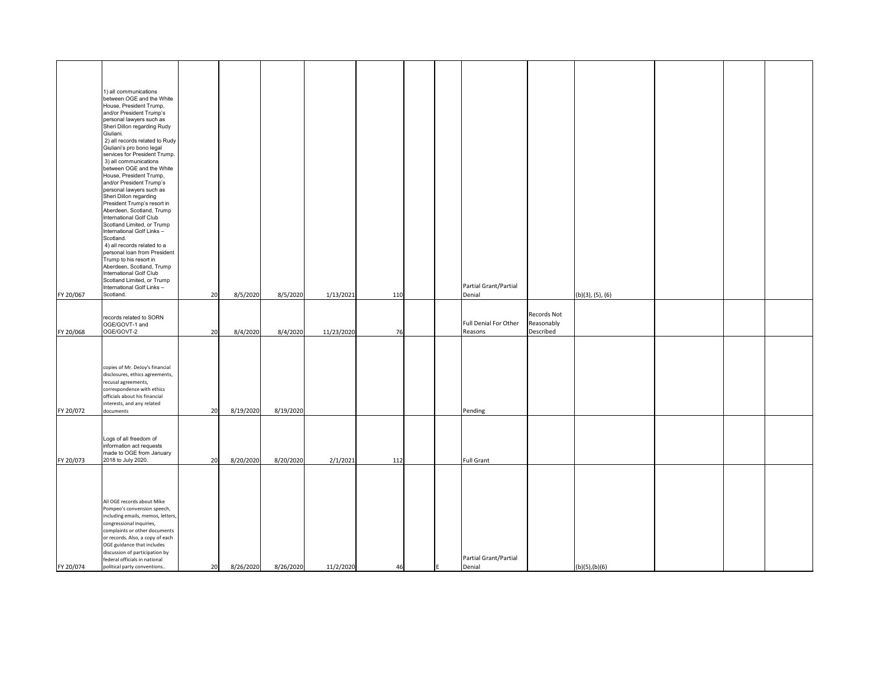| FY 20/067 | 1) all communications<br>between OGE and the White<br>House, President Trump,<br>and/or President Trump's<br>personal lawyers such as<br>Sheri Dillon regarding Rudy<br>Giuliani.<br>2) all records related to Rudy<br>Giuliani's pro bono legal<br>services for President Trump.<br>3) all communications<br>between OGE and the White<br>House, President Trump,<br>and/or President Trump's<br>personal lawyers such as<br>Sheri Dillon regarding<br>President Trump's resort in<br>Aberdeen, Scotland, Trump<br>International Golf Club<br>Scotland Limited, or Trump<br>International Golf Links-<br>Scotland.<br>4) all records related to a<br>personal loan from President<br>Trump to his resort in<br>Aberdeen, Scotland, Trump<br>International Golf Club<br>Scotland Limited, or Trump<br>International Golf Links-<br>Scotland. | 20 | 8/5/2020  | 8/5/2020  | 1/13/2021  | 110 | Partial Grant/Partial<br>Denial  |                                        | $(b)(3)$ , $(5)$ , $(6)$ |  |  |
|-----------|----------------------------------------------------------------------------------------------------------------------------------------------------------------------------------------------------------------------------------------------------------------------------------------------------------------------------------------------------------------------------------------------------------------------------------------------------------------------------------------------------------------------------------------------------------------------------------------------------------------------------------------------------------------------------------------------------------------------------------------------------------------------------------------------------------------------------------------------|----|-----------|-----------|------------|-----|----------------------------------|----------------------------------------|--------------------------|--|--|
|           |                                                                                                                                                                                                                                                                                                                                                                                                                                                                                                                                                                                                                                                                                                                                                                                                                                              |    |           |           |            |     |                                  |                                        |                          |  |  |
| FY 20/068 | records related to SORN<br>OGE/GOVT-1 and<br>OGE/GOVT-2                                                                                                                                                                                                                                                                                                                                                                                                                                                                                                                                                                                                                                                                                                                                                                                      | 20 | 8/4/2020  | 8/4/2020  | 11/23/2020 | 76  | Full Denial For Other<br>Reasons | Records Not<br>Reasonably<br>Described |                          |  |  |
| FY 20/072 | copies of Mr. DeJoy's financial<br>disclosures, ethics agreements,<br>recusal agreements,<br>correspondence with ethics<br>officials about his financial<br>interests, and any related<br>documents                                                                                                                                                                                                                                                                                                                                                                                                                                                                                                                                                                                                                                          | 20 | 8/19/2020 | 8/19/2020 |            |     | Pending                          |                                        |                          |  |  |
| FY 20/073 | Logs of all freedom of<br>information act requests<br>made to OGE from January<br>2018 to July 2020.                                                                                                                                                                                                                                                                                                                                                                                                                                                                                                                                                                                                                                                                                                                                         | 20 | 8/20/2020 | 8/20/2020 | 2/1/2021   | 112 | <b>Full Grant</b>                |                                        |                          |  |  |
| FY 20/074 | All OGE records about Mike<br>Pompeo's convension speech,<br>including emails, memos, letters,<br>congressional inquiries,<br>complaints or other documents<br>or records. Also, a copy of each<br>OGE guidance that includes<br>discussion of participation by<br>federal officials in national<br>political party conventions                                                                                                                                                                                                                                                                                                                                                                                                                                                                                                              | 20 | 8/26/2020 | 8/26/2020 | 11/2/2020  | 46  | Partial Grant/Partial<br>Denial  |                                        | (b)(5),(b)(6)            |  |  |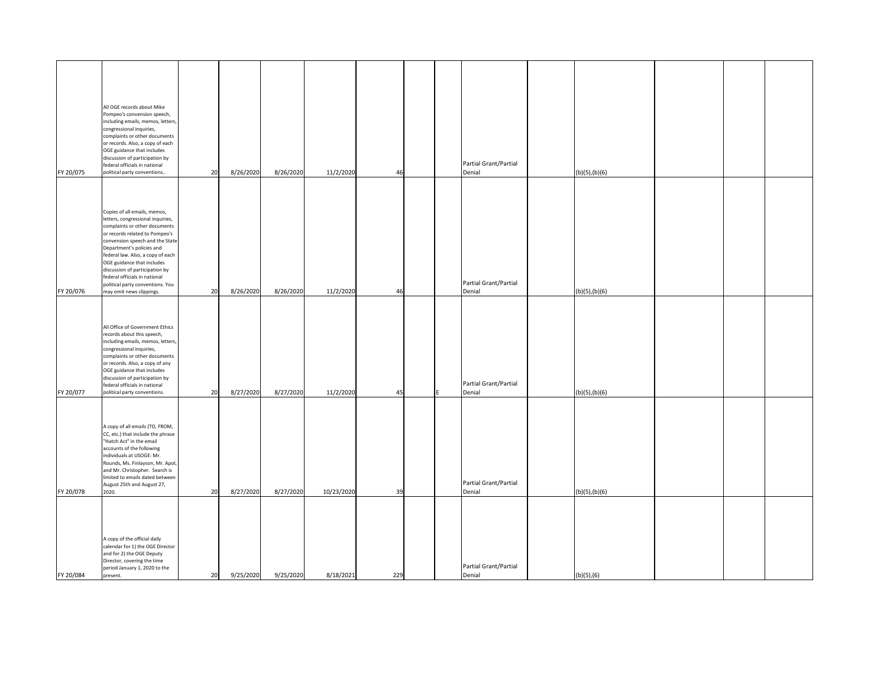| FY 20/075 | All OGE records about Mike<br>Pompeo's convension speech,<br>including emails, memos, letters,<br>congressional inquiries,<br>complaints or other documents<br>or records. Also, a copy of each<br>OGE guidance that includes<br>discussion of participation by<br>federal officials in national<br>political party conventions                                                                            | 20 | 8/26/2020 | 8/26/2020 | 11/2/2020  | 46  |  | Partial Grant/Partial<br>Denial | (b)(5),(b)(6) |  |
|-----------|------------------------------------------------------------------------------------------------------------------------------------------------------------------------------------------------------------------------------------------------------------------------------------------------------------------------------------------------------------------------------------------------------------|----|-----------|-----------|------------|-----|--|---------------------------------|---------------|--|
| FY 20/076 | Copies of all emails, memos,<br>letters, congressional inquiries,<br>complaints or other documents<br>or records related to Pompeo's<br>convension speech and the State<br>Department's policies and<br>federal law. Also, a copy of each<br>OGE guidance that includes<br>discussion of participation by<br>federal officials in national<br>political party conventions. You<br>may omit news clippings. | 20 | 8/26/2020 | 8/26/2020 | 11/2/2020  | 46  |  | Partial Grant/Partial<br>Denial | (b)(5),(b)(6) |  |
| FY 20/077 | All Office of Government Ethics<br>records about this speech,<br>including emails, memos, letters,<br>congressional inquiries,<br>complaints or other documents<br>or records. Also, a copy of any<br>OGE guidance that includes<br>discussion of participation by<br>federal officials in national<br>political party conventions.                                                                        | 20 | 8/27/2020 | 8/27/2020 | 11/2/2020  | 45  |  | Partial Grant/Partial<br>Denial | (b)(5),(b)(6) |  |
| FY 20/078 | A copy of all emails (TO, FROM,<br>CC, etc.) that include the phrase<br>"Hatch Act" in the email<br>accounts of the following<br>individuals at USOGE: Mr.<br>Rounds, Ms. Finlayson, Mr. Apol,<br>and Mr. Christopher. Search is<br>limited to emails dated between<br>August 25th and August 27,<br>2020.                                                                                                 | 20 | 8/27/2020 | 8/27/2020 | 10/23/2020 | 39  |  | Partial Grant/Partial<br>Denial | (b)(5),(b)(6) |  |
| FY 20/084 | A copy of the official daily<br>calendar for 1) the OGE Director<br>and for 2) the OGE Deputy<br>Director, covering the time<br>period January 1, 2020 to the<br>present.                                                                                                                                                                                                                                  | 20 | 9/25/2020 | 9/25/2020 | 8/18/2021  | 229 |  | Partial Grant/Partial<br>Denial | (b)(5),(6)    |  |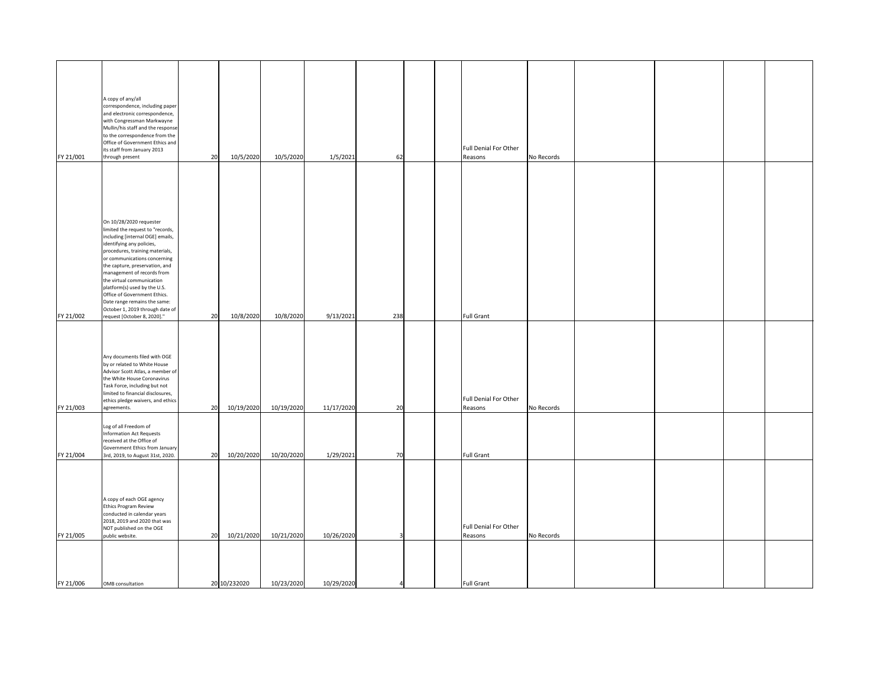| FY 21/001              | A copy of any/all<br>correspondence, including paper<br>and electronic correspondence,<br>with Congressman Markwayne<br>Mullin/his staff and the response<br>to the correspondence from the<br>Office of Government Ethics and<br>its staff from January 2013<br>through present                                                                                                                                                                               | 20 | 10/5/2020               | 10/5/2020  | 1/5/2021   | 62  |  | Full Denial For Other<br>Reasons | No Records |  |  |
|------------------------|----------------------------------------------------------------------------------------------------------------------------------------------------------------------------------------------------------------------------------------------------------------------------------------------------------------------------------------------------------------------------------------------------------------------------------------------------------------|----|-------------------------|------------|------------|-----|--|----------------------------------|------------|--|--|
|                        | On 10/28/2020 requester<br>limited the request to "records,<br>including [internal OGE] emails,<br>identifying any policies,<br>procedures, training materials,<br>or communications concerning<br>the capture, preservation, and<br>management of records from<br>the virtual communication<br>platform(s) used by the U.S.<br>Office of Government Ethics.<br>Date range remains the same:<br>October 1, 2019 through date of<br>request [October 8, 2020]." | 20 |                         | 10/8/2020  | 9/13/2021  | 238 |  | <b>Full Grant</b>                |            |  |  |
| FY 21/002<br>FY 21/003 | Any documents filed with OGE<br>by or related to White House<br>Advisor Scott Atlas, a member of<br>the White House Coronavirus<br>Task Force, including but not<br>limited to financial disclosures,<br>ethics pledge waivers, and ethics<br>agreements.                                                                                                                                                                                                      | 20 | 10/8/2020<br>10/19/2020 | 10/19/2020 | 11/17/2020 | 20  |  | Full Denial For Other<br>Reasons | No Records |  |  |
| FY 21/004              | Log of all Freedom of<br>Information Act Requests<br>received at the Office of<br>Government Ethics from January<br>3rd, 2019, to August 31st, 2020.                                                                                                                                                                                                                                                                                                           | 20 | 10/20/2020              | 10/20/2020 | 1/29/2021  | 70  |  | <b>Full Grant</b>                |            |  |  |
| FY 21/005              | A copy of each OGE agency<br><b>Ethics Program Review</b><br>conducted in calendar years<br>2018, 2019 and 2020 that was<br>NOT published on the OGE<br>public website.                                                                                                                                                                                                                                                                                        | 20 | 10/21/2020              | 10/21/2020 | 10/26/2020 | 3   |  | Full Denial For Other<br>Reasons | No Records |  |  |
| FY 21/006              | OMB consultation                                                                                                                                                                                                                                                                                                                                                                                                                                               |    | 20 10/232020            | 10/23/2020 | 10/29/2020 |     |  | <b>Full Grant</b>                |            |  |  |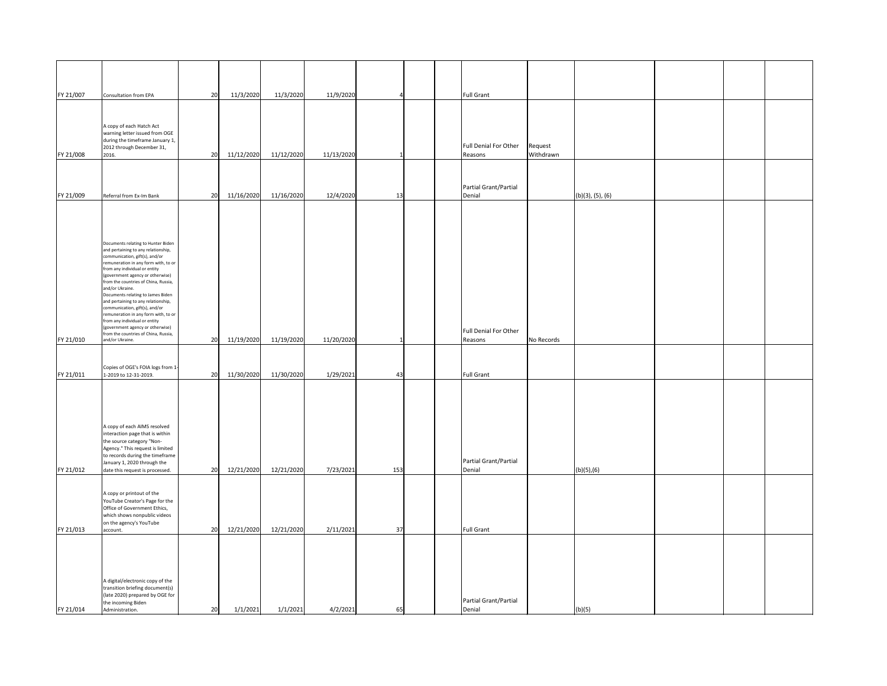| FY 21/007 | Consultation from EPA                                                     | 20 | 11/3/2020  | 11/3/2020  | 11/9/2020  |     |  | <b>Full Grant</b>     |            |                          |  |  |
|-----------|---------------------------------------------------------------------------|----|------------|------------|------------|-----|--|-----------------------|------------|--------------------------|--|--|
|           |                                                                           |    |            |            |            |     |  |                       |            |                          |  |  |
|           |                                                                           |    |            |            |            |     |  |                       |            |                          |  |  |
|           | A copy of each Hatch Act                                                  |    |            |            |            |     |  |                       |            |                          |  |  |
|           | warning letter issued from OGE<br>during the timeframe January 1,         |    |            |            |            |     |  |                       |            |                          |  |  |
|           | 2012 through December 31,                                                 |    |            |            |            |     |  | Full Denial For Other | Request    |                          |  |  |
| FY 21/008 | 2016.                                                                     | 20 | 11/12/2020 | 11/12/2020 | 11/13/2020 |     |  | Reasons               | Withdrawn  |                          |  |  |
|           |                                                                           |    |            |            |            |     |  |                       |            |                          |  |  |
|           |                                                                           |    |            |            |            |     |  | Partial Grant/Partial |            |                          |  |  |
| FY 21/009 | Referral from Ex-Im Bank                                                  | 20 | 11/16/2020 | 11/16/2020 | 12/4/2020  | 13  |  | Denial                |            | $(b)(3)$ , $(5)$ , $(6)$ |  |  |
|           |                                                                           |    |            |            |            |     |  |                       |            |                          |  |  |
|           |                                                                           |    |            |            |            |     |  |                       |            |                          |  |  |
|           |                                                                           |    |            |            |            |     |  |                       |            |                          |  |  |
|           |                                                                           |    |            |            |            |     |  |                       |            |                          |  |  |
|           | Documents relating to Hunter Biden<br>and pertaining to any relationship, |    |            |            |            |     |  |                       |            |                          |  |  |
|           | communication, gift(s), and/or<br>remuneration in any form with, to or    |    |            |            |            |     |  |                       |            |                          |  |  |
|           | from any individual or entity                                             |    |            |            |            |     |  |                       |            |                          |  |  |
|           | (government agency or otherwise)<br>from the countries of China, Russia,  |    |            |            |            |     |  |                       |            |                          |  |  |
|           | and/or Ukraine.                                                           |    |            |            |            |     |  |                       |            |                          |  |  |
|           | Documents relating to James Biden<br>and pertaining to any relationship,  |    |            |            |            |     |  |                       |            |                          |  |  |
|           | communication, gift(s), and/or<br>remuneration in any form with, to or    |    |            |            |            |     |  |                       |            |                          |  |  |
|           | from any individual or entity                                             |    |            |            |            |     |  |                       |            |                          |  |  |
|           | (government agency or otherwise)<br>from the countries of China, Russia,  |    |            |            |            |     |  | Full Denial For Other |            |                          |  |  |
| FY 21/010 | and/or Ukraine.                                                           | 20 | 11/19/2020 | 11/19/2020 | 11/20/2020 |     |  | Reasons               | No Records |                          |  |  |
|           |                                                                           |    |            |            |            |     |  |                       |            |                          |  |  |
|           | Copies of OGE's FOIA logs from 1-                                         |    |            |            |            |     |  |                       |            |                          |  |  |
| FY 21/011 | 1-2019 to 12-31-2019.                                                     | 20 | 11/30/2020 | 11/30/2020 | 1/29/2021  | 43  |  | <b>Full Grant</b>     |            |                          |  |  |
|           |                                                                           |    |            |            |            |     |  |                       |            |                          |  |  |
|           |                                                                           |    |            |            |            |     |  |                       |            |                          |  |  |
|           |                                                                           |    |            |            |            |     |  |                       |            |                          |  |  |
|           |                                                                           |    |            |            |            |     |  |                       |            |                          |  |  |
|           | A copy of each AIMS resolved<br>interaction page that is within           |    |            |            |            |     |  |                       |            |                          |  |  |
|           | the source category "Non-                                                 |    |            |            |            |     |  |                       |            |                          |  |  |
|           | Agency." This request is limited<br>to records during the timeframe       |    |            |            |            |     |  |                       |            |                          |  |  |
|           | January 1, 2020 through the                                               |    |            |            |            |     |  | Partial Grant/Partial |            |                          |  |  |
| FY 21/012 | date this request is processed.                                           | 20 | 12/21/2020 | 12/21/2020 | 7/23/2021  | 153 |  | Denial                |            | (b)(5),(6)               |  |  |
|           |                                                                           |    |            |            |            |     |  |                       |            |                          |  |  |
|           | A copy or printout of the                                                 |    |            |            |            |     |  |                       |            |                          |  |  |
|           | YouTube Creator's Page for the<br>Office of Government Ethics,            |    |            |            |            |     |  |                       |            |                          |  |  |
|           | which shows nonpublic videos                                              |    |            |            |            |     |  |                       |            |                          |  |  |
| FY 21/013 | on the agency's YouTube<br>account.                                       | 20 | 12/21/2020 | 12/21/2020 | 2/11/2021  | 37  |  | <b>Full Grant</b>     |            |                          |  |  |
|           |                                                                           |    |            |            |            |     |  |                       |            |                          |  |  |
|           |                                                                           |    |            |            |            |     |  |                       |            |                          |  |  |
|           |                                                                           |    |            |            |            |     |  |                       |            |                          |  |  |
|           |                                                                           |    |            |            |            |     |  |                       |            |                          |  |  |
|           | A digital/electronic copy of the                                          |    |            |            |            |     |  |                       |            |                          |  |  |
|           | transition briefing document(s)                                           |    |            |            |            |     |  |                       |            |                          |  |  |
|           | (late 2020) prepared by OGE for<br>the incoming Biden                     |    |            |            |            |     |  | Partial Grant/Partial |            |                          |  |  |
| FY 21/014 | Administration.                                                           | 20 | 1/1/2021   | 1/1/2021   | 4/2/2021   | 65  |  | Denial                |            | (b)(5)                   |  |  |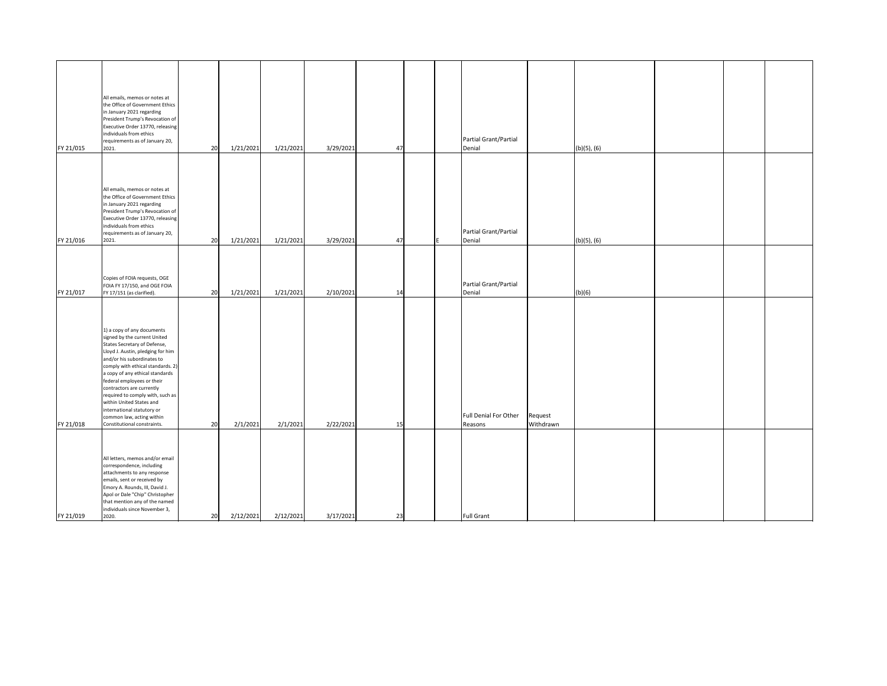| FY 21/015 | All emails, memos or notes at<br>the Office of Government Ethics<br>in January 2021 regarding<br>President Trump's Revocation of<br>Executive Order 13770, releasing<br>individuals from ethics<br>requirements as of January 20,<br>2021.                                                                                                                                                                                                                 | 20 | 1/21/2021 | 1/21/2021 | 3/29/2021 | 47 |  | Partial Grant/Partial<br>Denial  |                      | $(b)(5)$ , $(6)$ |  |  |
|-----------|------------------------------------------------------------------------------------------------------------------------------------------------------------------------------------------------------------------------------------------------------------------------------------------------------------------------------------------------------------------------------------------------------------------------------------------------------------|----|-----------|-----------|-----------|----|--|----------------------------------|----------------------|------------------|--|--|
| FY 21/016 | All emails, memos or notes at<br>the Office of Government Ethics<br>in January 2021 regarding<br>President Trump's Revocation of<br>Executive Order 13770, releasing<br>individuals from ethics<br>requirements as of January 20,<br>2021.                                                                                                                                                                                                                 | 20 | 1/21/2021 | 1/21/2021 | 3/29/2021 | 47 |  | Partial Grant/Partial<br>Denial  |                      | $(b)(5)$ , $(6)$ |  |  |
| FY 21/017 | Copies of FOIA requests, OGE<br>FOIA FY 17/150, and OGE FOIA<br>FY 17/151 (as clarified).                                                                                                                                                                                                                                                                                                                                                                  | 20 | 1/21/2021 | 1/21/2021 | 2/10/2021 | 14 |  | Partial Grant/Partial<br>Denial  |                      | (b)(6)           |  |  |
| FY 21/018 | 1) a copy of any documents<br>signed by the current United<br>States Secretary of Defense,<br>Lloyd J. Austin, pledging for him<br>and/or his subordinates to<br>comply with ethical standards. 2)<br>a copy of any ethical standards<br>federal employees or their<br>contractors are currently<br>required to comply with, such as<br>within United States and<br>international statutory or<br>common law, acting within<br>Constitutional constraints. | 20 | 2/1/2021  | 2/1/2021  | 2/22/2021 | 15 |  | Full Denial For Other<br>Reasons | Request<br>Withdrawn |                  |  |  |
| FY 21/019 | All letters, memos and/or email<br>correspondence, including<br>attachments to any response<br>emails, sent or received by<br>Emory A. Rounds, III, David J.<br>Apol or Dale "Chip" Christopher<br>that mention any of the named<br>individuals since November 3,<br>2020.                                                                                                                                                                                 | 20 | 2/12/2021 | 2/12/2021 | 3/17/2021 | 23 |  | <b>Full Grant</b>                |                      |                  |  |  |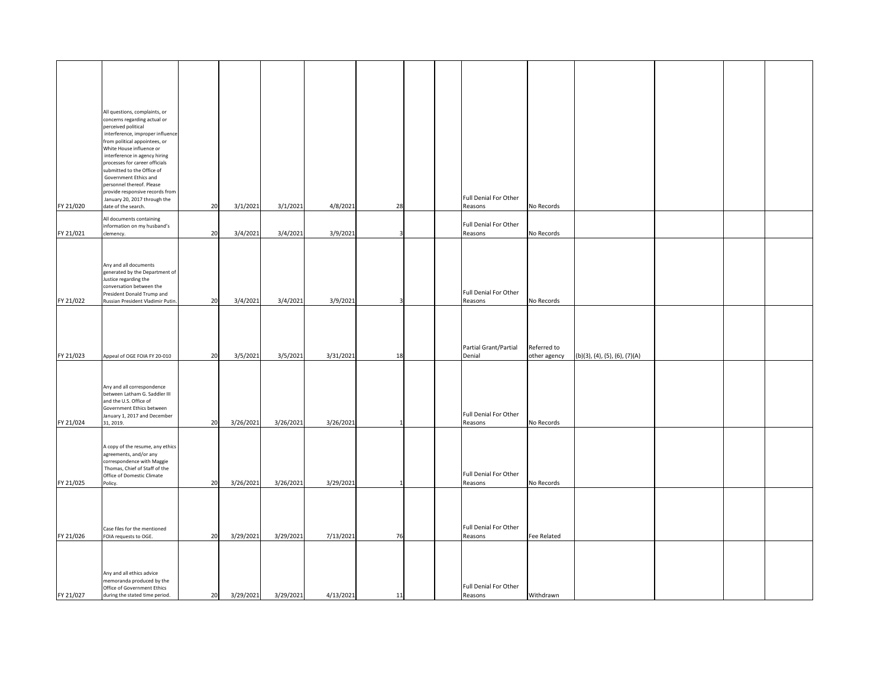|           | All questions, complaints, or<br>concerns regarding actual or |    |           |           |           |    |  |                              |              |                                  |  |
|-----------|---------------------------------------------------------------|----|-----------|-----------|-----------|----|--|------------------------------|--------------|----------------------------------|--|
|           | perceived political                                           |    |           |           |           |    |  |                              |              |                                  |  |
|           | interference, improper influence                              |    |           |           |           |    |  |                              |              |                                  |  |
|           | from political appointees, or<br>White House influence or     |    |           |           |           |    |  |                              |              |                                  |  |
|           | interference in agency hiring                                 |    |           |           |           |    |  |                              |              |                                  |  |
|           | processes for career officials                                |    |           |           |           |    |  |                              |              |                                  |  |
|           | submitted to the Office of                                    |    |           |           |           |    |  |                              |              |                                  |  |
|           | Government Ethics and<br>personnel thereof. Please            |    |           |           |           |    |  |                              |              |                                  |  |
|           | provide responsive records from                               |    |           |           |           |    |  |                              |              |                                  |  |
|           | January 20, 2017 through the                                  |    |           |           |           |    |  | Full Denial For Other        |              |                                  |  |
| FY 21/020 | date of the search.                                           | 20 | 3/1/2021  | 3/1/2021  | 4/8/2021  | 28 |  | Reasons                      | No Records   |                                  |  |
|           | All documents containing                                      |    |           |           |           |    |  |                              |              |                                  |  |
|           | information on my husband's                                   |    |           |           |           |    |  | Full Denial For Other        |              |                                  |  |
| FY 21/021 | clemency.                                                     | 20 | 3/4/2021  | 3/4/2021  | 3/9/2021  |    |  | Reasons                      | No Records   |                                  |  |
|           |                                                               |    |           |           |           |    |  |                              |              |                                  |  |
|           |                                                               |    |           |           |           |    |  |                              |              |                                  |  |
|           | Any and all documents                                         |    |           |           |           |    |  |                              |              |                                  |  |
|           | generated by the Department of<br>Justice regarding the       |    |           |           |           |    |  |                              |              |                                  |  |
|           | conversation between the                                      |    |           |           |           |    |  |                              |              |                                  |  |
|           | President Donald Trump and                                    |    |           |           |           |    |  | <b>Full Denial For Other</b> |              |                                  |  |
| FY 21/022 | Russian President Vladimir Putin.                             | 20 | 3/4/2021  | 3/4/2021  | 3/9/2021  |    |  | Reasons                      | No Records   |                                  |  |
|           |                                                               |    |           |           |           |    |  |                              |              |                                  |  |
|           |                                                               |    |           |           |           |    |  |                              |              |                                  |  |
|           |                                                               |    |           |           |           |    |  |                              |              |                                  |  |
|           |                                                               |    |           |           |           |    |  |                              |              |                                  |  |
|           |                                                               |    |           |           |           |    |  | Partial Grant/Partial        | Referred to  |                                  |  |
| FY 21/023 | Appeal of OGE FOIA FY 20-010                                  | 20 | 3/5/2021  | 3/5/2021  | 3/31/2021 | 18 |  | Denial                       | other agency | $(b)(3)$ , (4), (5), (6), (7)(A) |  |
|           |                                                               |    |           |           |           |    |  |                              |              |                                  |  |
|           |                                                               |    |           |           |           |    |  |                              |              |                                  |  |
|           | Any and all correspondence                                    |    |           |           |           |    |  |                              |              |                                  |  |
|           | between Latham G. Saddler III<br>and the U.S. Office of       |    |           |           |           |    |  |                              |              |                                  |  |
|           | Government Ethics between                                     |    |           |           |           |    |  |                              |              |                                  |  |
|           | January 1, 2017 and December                                  |    |           |           |           |    |  | <b>Full Denial For Other</b> |              |                                  |  |
| FY 21/024 | 31, 2019.                                                     | 20 | 3/26/2021 | 3/26/2021 | 3/26/2021 |    |  | Reasons                      | No Records   |                                  |  |
|           |                                                               |    |           |           |           |    |  |                              |              |                                  |  |
|           | A copy of the resume, any ethics                              |    |           |           |           |    |  |                              |              |                                  |  |
|           | agreements, and/or any                                        |    |           |           |           |    |  |                              |              |                                  |  |
|           | correspondence with Maggie<br>Thomas, Chief of Staff of the   |    |           |           |           |    |  |                              |              |                                  |  |
|           | Office of Domestic Climate                                    |    |           |           |           |    |  | Full Denial For Other        |              |                                  |  |
| FY 21/025 | Policy.                                                       | 20 | 3/26/2021 | 3/26/2021 | 3/29/2021 |    |  | Reasons                      | No Records   |                                  |  |
|           |                                                               |    |           |           |           |    |  |                              |              |                                  |  |
|           |                                                               |    |           |           |           |    |  |                              |              |                                  |  |
|           |                                                               |    |           |           |           |    |  |                              |              |                                  |  |
|           |                                                               |    |           |           |           |    |  | Full Denial For Other        |              |                                  |  |
| FY 21/026 | Case files for the mentioned<br>FOIA requests to OGE.         | 20 | 3/29/2021 | 3/29/2021 | 7/13/2021 | 76 |  |                              | Fee Related  |                                  |  |
|           |                                                               |    |           |           |           |    |  | Reasons                      |              |                                  |  |
|           |                                                               |    |           |           |           |    |  |                              |              |                                  |  |
|           |                                                               |    |           |           |           |    |  |                              |              |                                  |  |
|           | Any and all ethics advice                                     |    |           |           |           |    |  |                              |              |                                  |  |
|           | memoranda produced by the                                     |    |           |           |           |    |  |                              |              |                                  |  |
|           | Office of Government Ethics                                   |    |           |           |           |    |  | <b>Full Denial For Other</b> |              |                                  |  |
| FY 21/027 | during the stated time period.                                | 20 | 3/29/2021 | 3/29/2021 | 4/13/2021 | 11 |  | Reasons                      | Withdrawn    |                                  |  |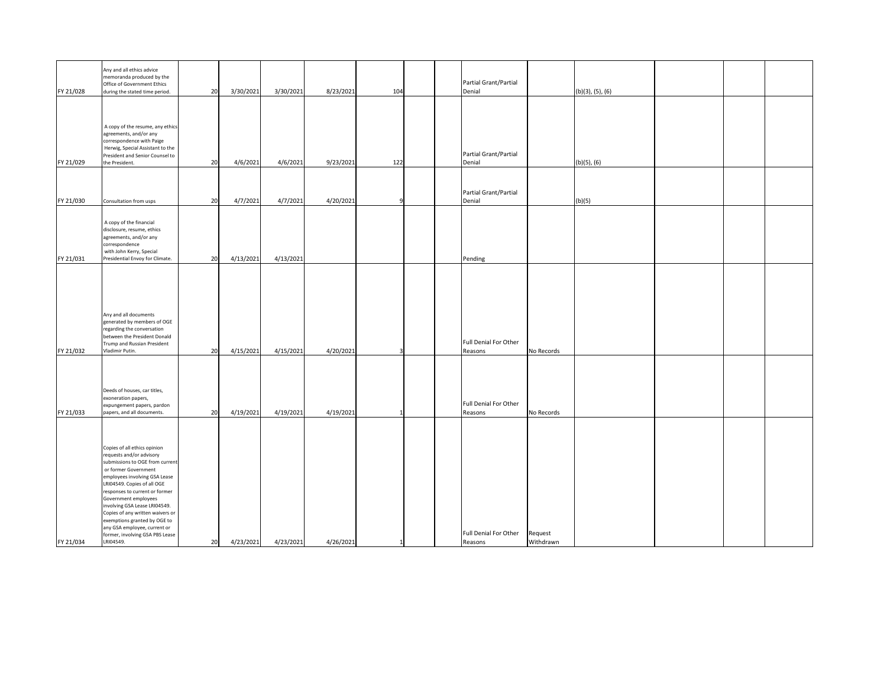|           | Any and all ethics advice<br>memoranda produced by the<br>Office of Government Ethics                                                                                                                                                                                                                                                                                                                                              |    |           |           |           |     |  | Partial Grant/Partial            |                      |                  |  |  |
|-----------|------------------------------------------------------------------------------------------------------------------------------------------------------------------------------------------------------------------------------------------------------------------------------------------------------------------------------------------------------------------------------------------------------------------------------------|----|-----------|-----------|-----------|-----|--|----------------------------------|----------------------|------------------|--|--|
| FY 21/028 | during the stated time period.                                                                                                                                                                                                                                                                                                                                                                                                     | 20 | 3/30/2021 | 3/30/2021 | 8/23/2021 | 104 |  | Denial                           |                      | (b)(3), (5), (6) |  |  |
|           | A copy of the resume, any ethics                                                                                                                                                                                                                                                                                                                                                                                                   |    |           |           |           |     |  |                                  |                      |                  |  |  |
| FY 21/029 | agreements, and/or any<br>correspondence with Paige<br>Herwig, Special Assistant to the<br>President and Senior Counsel to<br>the President.                                                                                                                                                                                                                                                                                       | 20 | 4/6/2021  | 4/6/2021  | 9/23/2021 | 122 |  | Partial Grant/Partial<br>Denial  |                      | $(b)(5)$ , $(6)$ |  |  |
|           |                                                                                                                                                                                                                                                                                                                                                                                                                                    |    |           |           |           |     |  |                                  |                      |                  |  |  |
| FY 21/030 | Consultation from usps                                                                                                                                                                                                                                                                                                                                                                                                             | 20 | 4/7/2021  | 4/7/2021  | 4/20/2021 | Q   |  | Partial Grant/Partial<br>Denial  |                      | (b)(5)           |  |  |
|           | A copy of the financial<br>disclosure, resume, ethics<br>agreements, and/or any<br>correspondence<br>with John Kerry, Special                                                                                                                                                                                                                                                                                                      |    |           |           |           |     |  |                                  |                      |                  |  |  |
| FY 21/031 | Presidential Envoy for Climate.                                                                                                                                                                                                                                                                                                                                                                                                    | 20 | 4/13/2021 | 4/13/2021 |           |     |  | Pending                          |                      |                  |  |  |
| FY 21/032 | Any and all documents<br>generated by members of OGE<br>regarding the conversation<br>between the President Donald<br>Trump and Russian President<br>Vladimir Putin.                                                                                                                                                                                                                                                               | 20 | 4/15/2021 | 4/15/2021 | 4/20/2021 | 3   |  | Full Denial For Other<br>Reasons | No Records           |                  |  |  |
| FY 21/033 | Deeds of houses, car titles,<br>exoneration papers,<br>expungement papers, pardon<br>papers, and all documents.                                                                                                                                                                                                                                                                                                                    | 20 | 4/19/2021 | 4/19/2021 | 4/19/2021 |     |  | Full Denial For Other<br>Reasons | No Records           |                  |  |  |
| FY 21/034 | Copies of all ethics opinion<br>requests and/or advisory<br>submissions to OGE from current<br>or former Government<br>employees involving GSA Lease<br>LRI04549. Copies of all OGE<br>responses to current or former<br>Government employees<br>involving GSA Lease LRI04549.<br>Copies of any written waivers or<br>exemptions granted by OGE to<br>any GSA employee, current or<br>former, involving GSA PBS Lease<br>LRI04549. | 20 | 4/23/2021 | 4/23/2021 | 4/26/2021 |     |  | Full Denial For Other<br>Reasons | Request<br>Withdrawn |                  |  |  |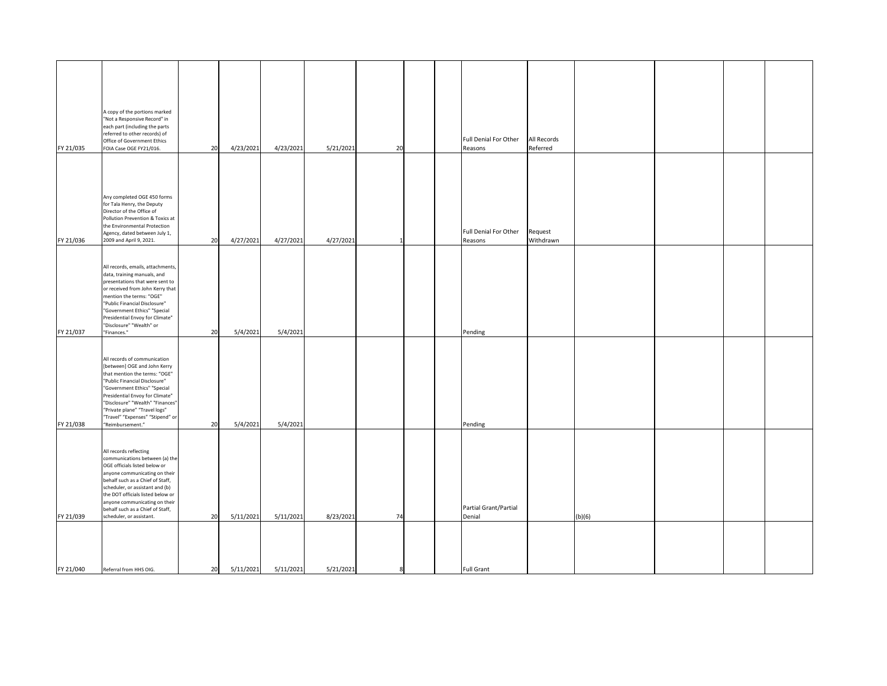| FY 21/035 | A copy of the portions marked<br>"Not a Responsive Record" in<br>each part (including the parts<br>referred to other records) of<br>Office of Government Ethics<br>FOIA Case OGE FY21/016.                                                                                                                                              | 20 | 4/23/2021 | 4/23/2021 | 5/21/2021 | 20 |  | Full Denial For Other<br>Reasons | <b>All Records</b><br>Referred |        |  |  |
|-----------|-----------------------------------------------------------------------------------------------------------------------------------------------------------------------------------------------------------------------------------------------------------------------------------------------------------------------------------------|----|-----------|-----------|-----------|----|--|----------------------------------|--------------------------------|--------|--|--|
| FY 21/036 | Any completed OGE 450 forms<br>for Tala Henry, the Deputy<br>Director of the Office of<br>Pollution Prevention & Toxics at<br>the Environmental Protection<br>Agency, dated between July 1,<br>2009 and April 9, 2021.                                                                                                                  | 20 | 4/27/2021 | 4/27/2021 | 4/27/2021 |    |  | Full Denial For Other<br>Reasons | Request<br>Withdrawn           |        |  |  |
| FY 21/037 | All records, emails, attachments,<br>data, training manuals, and<br>presentations that were sent to<br>or received from John Kerry that<br>mention the terms: "OGE"<br>"Public Financial Disclosure"<br>"Government Ethics" "Special<br>Presidential Envoy for Climate"<br>"Disclosure" "Wealth" or<br>"Finances."                      | 20 | 5/4/2021  | 5/4/2021  |           |    |  | Pending                          |                                |        |  |  |
| FY 21/038 | All records of communication<br>[between] OGE and John Kerry<br>that mention the terms: "OGE"<br>"Public Financial Disclosure"<br>"Government Ethics" "Special<br>Presidential Envoy for Climate"<br>"Disclosure" "Wealth" "Finances"<br>"Private plane" "Travel logs"<br>"Travel" "Expenses" "Stipend" or<br>"Reimbursement."          | 20 | 5/4/2021  | 5/4/2021  |           |    |  | Pending                          |                                |        |  |  |
| FY 21/039 | All records reflecting<br>communications between (a) the<br>OGE officials listed below or<br>anyone communicating on their<br>behalf such as a Chief of Staff,<br>scheduler, or assistant and (b)<br>the DOT officials listed below or<br>anyone communicating on their<br>behalf such as a Chief of Staff,<br>scheduler, or assistant. | 20 | 5/11/2021 | 5/11/2021 | 8/23/2021 | 74 |  | Partial Grant/Partial<br>Denial  |                                | (b)(6) |  |  |
| FY 21/040 | Referral from HHS OIG.                                                                                                                                                                                                                                                                                                                  | 20 | 5/11/2021 | 5/11/2021 | 5/21/2021 | 8  |  | <b>Full Grant</b>                |                                |        |  |  |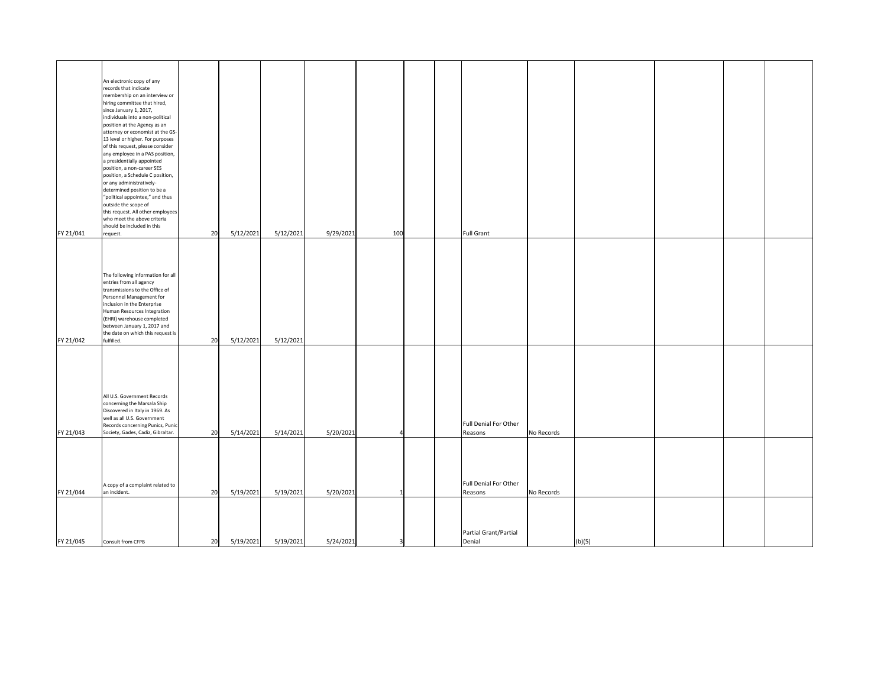| FY 21/041 | An electronic copy of any<br>records that indicate<br>membership on an interview or<br>hiring committee that hired,<br>since January 1, 2017,<br>individuals into a non-political<br>position at the Agency as an<br>attorney or economist at the GS-<br>13 level or higher. For purposes<br>of this request, please consider<br>any employee in a PAS position,<br>a presidentially appointed<br>position, a non-career SES<br>position, a Schedule C position,<br>or any administratively-<br>determined position to be a<br>"political appointee," and thus<br>outside the scope of<br>this request. All other employees<br>who meet the above criteria<br>should be included in this<br>request. | 20 | 5/12/2021 | 5/12/2021 | 9/29/2021 | 100 |  | <b>Full Grant</b>                |            |  |
|-----------|------------------------------------------------------------------------------------------------------------------------------------------------------------------------------------------------------------------------------------------------------------------------------------------------------------------------------------------------------------------------------------------------------------------------------------------------------------------------------------------------------------------------------------------------------------------------------------------------------------------------------------------------------------------------------------------------------|----|-----------|-----------|-----------|-----|--|----------------------------------|------------|--|
| FY 21/042 | The following information for all<br>entries from all agency<br>transmissions to the Office of<br>Personnel Management for<br>inclusion in the Enterprise<br>Human Resources Integration<br>(EHRI) warehouse completed<br>between January 1, 2017 and<br>the date on which this request is<br>fulfilled.                                                                                                                                                                                                                                                                                                                                                                                             | 20 | 5/12/2021 | 5/12/2021 |           |     |  |                                  |            |  |
| FY 21/043 | All U.S. Government Records<br>concerning the Marsala Ship<br>Discovered in Italy in 1969. As<br>well as all U.S. Government<br>Records concerning Punics, Punic<br>Society, Gades, Cadiz, Gibraltar.                                                                                                                                                                                                                                                                                                                                                                                                                                                                                                | 20 | 5/14/2021 | 5/14/2021 | 5/20/2021 |     |  | Full Denial For Other<br>Reasons | No Records |  |
| FY 21/044 | A copy of a complaint related to<br>an incident.                                                                                                                                                                                                                                                                                                                                                                                                                                                                                                                                                                                                                                                     | 20 | 5/19/2021 | 5/19/2021 | 5/20/2021 |     |  | Full Denial For Other<br>Reasons | No Records |  |
| FY 21/045 | Consult from CFPB                                                                                                                                                                                                                                                                                                                                                                                                                                                                                                                                                                                                                                                                                    | 20 | 5/19/2021 | 5/19/2021 | 5/24/2021 |     |  | Partial Grant/Partial<br>Denial  | (b)(5)     |  |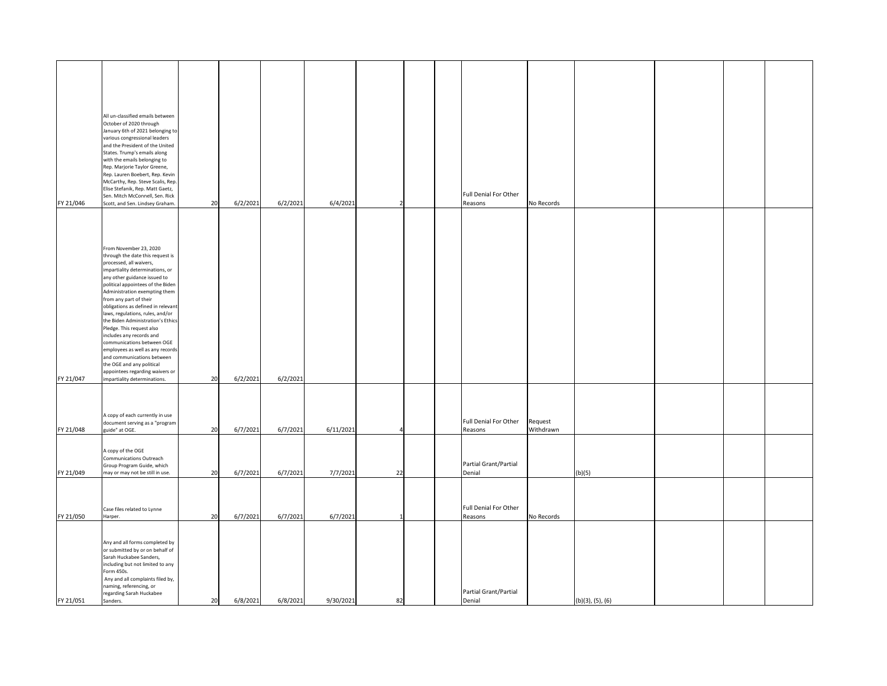|           | All un-classified emails between<br>October of 2020 through            |    |          |          |           |    |  |                                  |            |                  |  |  |
|-----------|------------------------------------------------------------------------|----|----------|----------|-----------|----|--|----------------------------------|------------|------------------|--|--|
|           | January 6th of 2021 belonging to<br>various congressional leaders      |    |          |          |           |    |  |                                  |            |                  |  |  |
|           | and the President of the United<br>States. Trump's emails along        |    |          |          |           |    |  |                                  |            |                  |  |  |
|           | with the emails belonging to                                           |    |          |          |           |    |  |                                  |            |                  |  |  |
|           | Rep. Marjorie Taylor Greene,<br>Rep. Lauren Boebert, Rep. Kevin        |    |          |          |           |    |  |                                  |            |                  |  |  |
|           | McCarthy, Rep. Steve Scalis, Rep.<br>Elise Stefanik, Rep. Matt Gaetz,  |    |          |          |           |    |  |                                  |            |                  |  |  |
| FY 21/046 | Sen. Mitch McConnell, Sen. Rick<br>Scott, and Sen. Lindsey Graham.     | 20 | 6/2/2021 | 6/2/2021 | 6/4/2021  |    |  | Full Denial For Other<br>Reasons | No Records |                  |  |  |
|           |                                                                        |    |          |          |           |    |  |                                  |            |                  |  |  |
|           |                                                                        |    |          |          |           |    |  |                                  |            |                  |  |  |
|           |                                                                        |    |          |          |           |    |  |                                  |            |                  |  |  |
|           | From November 23, 2020                                                 |    |          |          |           |    |  |                                  |            |                  |  |  |
|           | through the date this request is<br>processed, all waivers,            |    |          |          |           |    |  |                                  |            |                  |  |  |
|           | impartiality determinations, or<br>any other guidance issued to        |    |          |          |           |    |  |                                  |            |                  |  |  |
|           | political appointees of the Biden<br>Administration exempting them     |    |          |          |           |    |  |                                  |            |                  |  |  |
|           | from any part of their                                                 |    |          |          |           |    |  |                                  |            |                  |  |  |
|           | obligations as defined in relevant<br>laws, regulations, rules, and/or |    |          |          |           |    |  |                                  |            |                  |  |  |
|           | the Biden Administration's Ethics<br>Pledge. This request also         |    |          |          |           |    |  |                                  |            |                  |  |  |
|           | includes any records and<br>communications between OGE                 |    |          |          |           |    |  |                                  |            |                  |  |  |
|           | employees as well as any records<br>and communications between         |    |          |          |           |    |  |                                  |            |                  |  |  |
|           | the OGE and any political                                              |    |          |          |           |    |  |                                  |            |                  |  |  |
| FY 21/047 | appointees regarding waivers or<br>impartiality determinations.        | 20 | 6/2/2021 | 6/2/2021 |           |    |  |                                  |            |                  |  |  |
|           |                                                                        |    |          |          |           |    |  |                                  |            |                  |  |  |
|           |                                                                        |    |          |          |           |    |  |                                  |            |                  |  |  |
|           | A copy of each currently in use                                        |    |          |          |           |    |  | Full Denial For Other            | Request    |                  |  |  |
| FY 21/048 | document serving as a "program<br>guide" at OGE.                       | 20 | 6/7/2021 | 6/7/2021 | 6/11/2021 |    |  | Reasons                          | Withdrawn  |                  |  |  |
|           |                                                                        |    |          |          |           |    |  |                                  |            |                  |  |  |
|           | A copy of the OGE<br><b>Communications Outreach</b>                    |    |          |          |           |    |  |                                  |            |                  |  |  |
| FY 21/049 | Group Program Guide, which<br>may or may not be still in use.          | 20 | 6/7/2021 | 6/7/2021 | 7/7/2021  | 22 |  | Partial Grant/Partial<br>Denial  |            | (b)(5)           |  |  |
|           |                                                                        |    |          |          |           |    |  |                                  |            |                  |  |  |
|           |                                                                        |    |          |          |           |    |  |                                  |            |                  |  |  |
|           | Case files related to Lynne                                            |    |          |          |           |    |  | Full Denial For Other            |            |                  |  |  |
| FY 21/050 | Harper.                                                                | 20 | 6/7/2021 | 6/7/2021 | 6/7/2021  |    |  | Reasons                          | No Records |                  |  |  |
|           |                                                                        |    |          |          |           |    |  |                                  |            |                  |  |  |
|           | Any and all forms completed by<br>or submitted by or on behalf of      |    |          |          |           |    |  |                                  |            |                  |  |  |
|           | Sarah Huckabee Sanders,<br>including but not limited to any            |    |          |          |           |    |  |                                  |            |                  |  |  |
|           | Form 450s.                                                             |    |          |          |           |    |  |                                  |            |                  |  |  |
|           | Any and all complaints filed by,<br>naming, referencing, or            |    |          |          |           |    |  |                                  |            |                  |  |  |
| FY 21/051 | regarding Sarah Huckabee<br>Sanders.                                   | 20 | 6/8/2021 | 6/8/2021 | 9/30/2021 | 82 |  | Partial Grant/Partial<br>Denial  |            | (b)(3), (5), (6) |  |  |
|           |                                                                        |    |          |          |           |    |  |                                  |            |                  |  |  |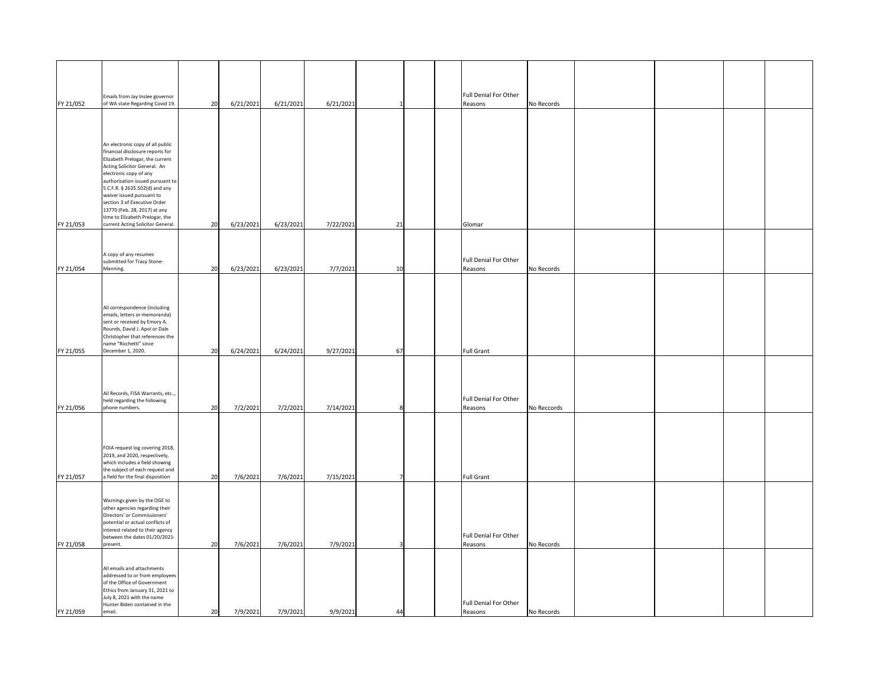| FY 21/052 | Emails from Jay Inslee governor<br>of WA state Regarding Covid 19.                                                                                                                                                                                                   | 20 | 6/21/2021 | 6/21/2021 | 6/21/2021 |    |  | Full Denial For Other<br>Reasons        | No Records  |  |  |
|-----------|----------------------------------------------------------------------------------------------------------------------------------------------------------------------------------------------------------------------------------------------------------------------|----|-----------|-----------|-----------|----|--|-----------------------------------------|-------------|--|--|
|           |                                                                                                                                                                                                                                                                      |    |           |           |           |    |  |                                         |             |  |  |
|           | An electronic copy of all public<br>financial disclosure reports for<br>Elizabeth Prelogar, the current<br>Acting Solicitor General. An<br>electronic copy of any<br>authorization issued pursuant to<br>5 C.F.R. § 2635.502(d) and any<br>waiver issued pursuant to |    |           |           |           |    |  |                                         |             |  |  |
| FY 21/053 | section 3 of Executive Order<br>13770 (Feb. 28, 2017) at any<br>time to Elizabeth Prelogar, the<br>current Acting Solicitor General.                                                                                                                                 | 20 | 6/23/2021 | 6/23/2021 | 7/22/2021 | 21 |  | Glomar                                  |             |  |  |
|           | A copy of any resumes                                                                                                                                                                                                                                                |    |           |           |           |    |  |                                         |             |  |  |
| FY 21/054 | submitted for Tracy Stone-<br>Manning.                                                                                                                                                                                                                               | 20 | 6/23/2021 | 6/23/2021 | 7/7/2021  | 10 |  | <b>Full Denial For Other</b><br>Reasons | No Records  |  |  |
|           | All correspondence (including<br>emails, letters or memoranda)<br>sent or received by Emory A.<br>Rounds, David J. Apol or Dale<br>Christopher that references the<br>name "Ricchetti" since                                                                         |    |           |           |           |    |  |                                         |             |  |  |
| FY 21/055 | December 1, 2020.                                                                                                                                                                                                                                                    | 20 | 6/24/2021 | 6/24/2021 | 9/27/2021 | 67 |  | <b>Full Grant</b>                       |             |  |  |
| FY 21/056 | All Records, FISA Warrants, etc,<br>held regarding the following<br>phone numbers.                                                                                                                                                                                   | 20 | 7/2/2021  | 7/2/2021  | 7/14/2021 |    |  | Full Denial For Other<br>Reasons        | No Reccords |  |  |
| FY 21/057 | FOIA request log covering 2018,<br>2019, and 2020, respectively,<br>which includes a field showing<br>the subject of each request and<br>a field for the final disposition                                                                                           | 20 | 7/6/2021  | 7/6/2021  | 7/15/2021 |    |  | <b>Full Grant</b>                       |             |  |  |
| FY 21/058 | Warnings given by the OGE to<br>other agencies regarding their<br>Directors' or Commissioners'<br>potential or actual conflicts of<br>interest related to their agency<br>between the dates 01/20/2021-<br>present.                                                  | 20 | 7/6/2021  | 7/6/2021  | 7/9/2021  |    |  | Full Denial For Other<br>Reasons        | No Records  |  |  |
| FY 21/059 | All emails and attachments<br>addressed to or from employees<br>of the Office of Government<br>Ethics from January 31, 2021 to<br>July 8, 2021 with the name<br>Hunter Biden contained in the<br>email.                                                              | 20 | 7/9/2021  | 7/9/2021  | 9/9/2021  | 44 |  | Full Denial For Other<br>Reasons        | No Records  |  |  |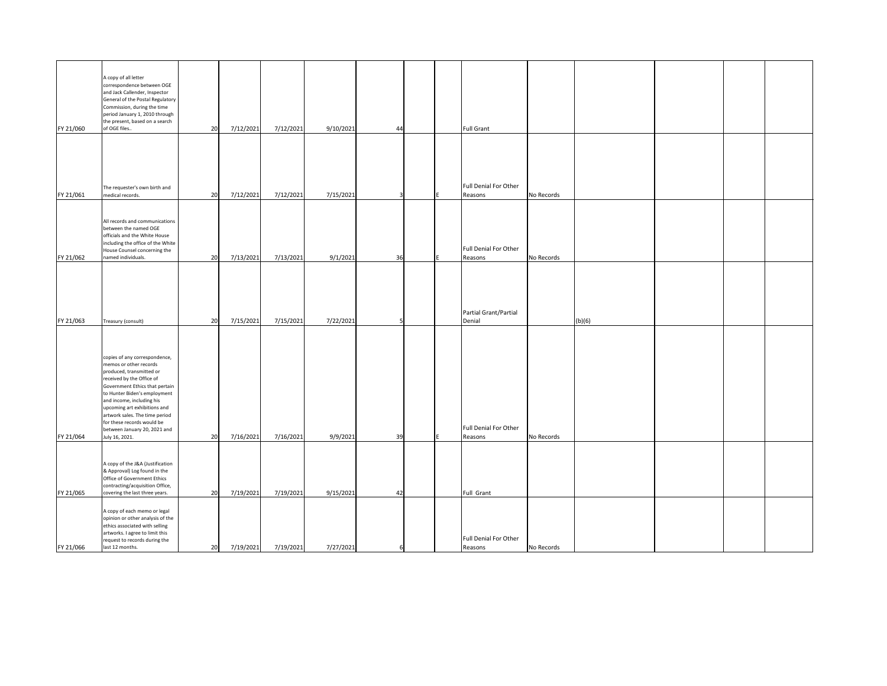| FY 21/060 | A copy of all letter<br>correspondence between OGE<br>and Jack Callender, Inspector<br>General of the Postal Regulatory<br>Commission, during the time<br>period January 1, 2010 through<br>the present, based on a search<br>of OGE files                                                                                                                        | 20 | 7/12/2021 | 7/12/2021 | 9/10/2021 | 44 |  | <b>Full Grant</b>                |            |        |  |  |
|-----------|-------------------------------------------------------------------------------------------------------------------------------------------------------------------------------------------------------------------------------------------------------------------------------------------------------------------------------------------------------------------|----|-----------|-----------|-----------|----|--|----------------------------------|------------|--------|--|--|
|           |                                                                                                                                                                                                                                                                                                                                                                   |    |           |           |           |    |  |                                  |            |        |  |  |
| FY 21/061 | The requester's own birth and<br>medical records.                                                                                                                                                                                                                                                                                                                 | 20 | 7/12/2021 | 7/12/2021 | 7/15/2021 |    |  | Full Denial For Other<br>Reasons | No Records |        |  |  |
| FY 21/062 | All records and communications<br>between the named OGE<br>officials and the White House<br>including the office of the White<br>House Counsel concerning the<br>named individuals.                                                                                                                                                                               | 20 | 7/13/2021 | 7/13/2021 | 9/1/2021  | 36 |  | Full Denial For Other<br>Reasons | No Records |        |  |  |
|           |                                                                                                                                                                                                                                                                                                                                                                   |    |           |           |           |    |  |                                  |            |        |  |  |
| FY 21/063 | Treasury (consult)                                                                                                                                                                                                                                                                                                                                                | 20 | 7/15/2021 | 7/15/2021 | 7/22/2021 |    |  | Partial Grant/Partial<br>Denial  |            | (b)(6) |  |  |
| FY 21/064 | copies of any correspondence,<br>memos or other records<br>produced, transmitted or<br>received by the Office of<br>Government Ethics that pertain<br>to Hunter Biden's employment<br>and income, including his<br>upcoming art exhibitions and<br>artwork sales. The time period<br>for these records would be<br>between January 20, 2021 and<br>July 16, 2021. | 20 | 7/16/2021 | 7/16/2021 | 9/9/2021  | 39 |  | Full Denial For Other<br>Reasons | No Records |        |  |  |
| FY 21/065 | A copy of the J&A (Justification<br>& Approval) Log found in the<br>Office of Government Ethics<br>contracting/acquisition Office,<br>covering the last three years.                                                                                                                                                                                              | 20 | 7/19/2021 | 7/19/2021 | 9/15/2021 | 42 |  | <b>Full Grant</b>                |            |        |  |  |
| FY 21/066 | A copy of each memo or legal<br>opinion or other analysis of the<br>ethics associated with selling<br>artworks. I agree to limit this<br>request to records during the<br>last 12 months.                                                                                                                                                                         | 20 | 7/19/2021 | 7/19/2021 | 7/27/2021 |    |  | Full Denial For Other<br>Reasons | No Records |        |  |  |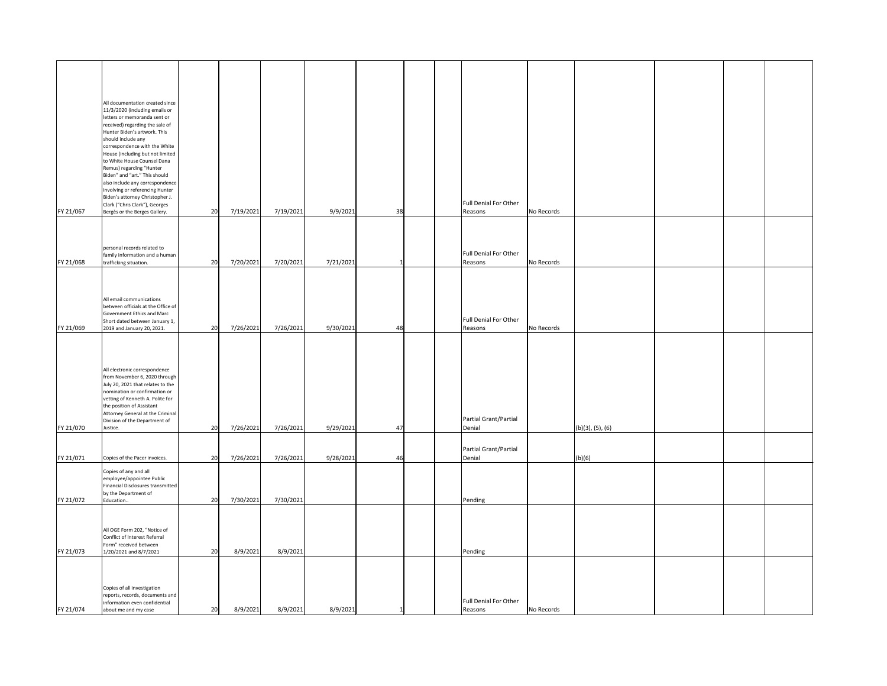|           | All documentation created since                           |    |           |           |           |     |  |                              |            |                  |  |  |
|-----------|-----------------------------------------------------------|----|-----------|-----------|-----------|-----|--|------------------------------|------------|------------------|--|--|
|           | 11/3/2020 (including emails or                            |    |           |           |           |     |  |                              |            |                  |  |  |
|           | letters or memoranda sent or                              |    |           |           |           |     |  |                              |            |                  |  |  |
|           | received) regarding the sale of                           |    |           |           |           |     |  |                              |            |                  |  |  |
|           | Hunter Biden's artwork. This                              |    |           |           |           |     |  |                              |            |                  |  |  |
|           | should include any<br>correspondence with the White       |    |           |           |           |     |  |                              |            |                  |  |  |
|           | House (including but not limited                          |    |           |           |           |     |  |                              |            |                  |  |  |
|           | to White House Counsel Dana                               |    |           |           |           |     |  |                              |            |                  |  |  |
|           | Remus) regarding "Hunter                                  |    |           |           |           |     |  |                              |            |                  |  |  |
|           | Biden" and "art." This should                             |    |           |           |           |     |  |                              |            |                  |  |  |
|           | also include any correspondence                           |    |           |           |           |     |  |                              |            |                  |  |  |
|           | involving or referencing Hunter                           |    |           |           |           |     |  |                              |            |                  |  |  |
|           | Biden's attorney Christopher J.                           |    |           |           |           |     |  |                              |            |                  |  |  |
|           | Clark ("Chris Clark"), Georges                            |    |           |           |           |     |  | Full Denial For Other        |            |                  |  |  |
| FY 21/067 | Bergès or the Berges Gallery.                             | 20 | 7/19/2021 | 7/19/2021 | 9/9/2021  | 38  |  | Reasons                      | No Records |                  |  |  |
|           |                                                           |    |           |           |           |     |  |                              |            |                  |  |  |
|           |                                                           |    |           |           |           |     |  |                              |            |                  |  |  |
|           |                                                           |    |           |           |           |     |  |                              |            |                  |  |  |
|           | personal records related to                               |    |           |           |           |     |  |                              |            |                  |  |  |
|           | family information and a human                            |    |           |           |           |     |  | Full Denial For Other        |            |                  |  |  |
| FY 21/068 | trafficking situation.                                    | 20 | 7/20/2021 | 7/20/2021 | 7/21/2021 |     |  | Reasons                      | No Records |                  |  |  |
|           |                                                           |    |           |           |           |     |  |                              |            |                  |  |  |
|           |                                                           |    |           |           |           |     |  |                              |            |                  |  |  |
|           |                                                           |    |           |           |           |     |  |                              |            |                  |  |  |
|           | All email communications                                  |    |           |           |           |     |  |                              |            |                  |  |  |
|           | between officials at the Office of                        |    |           |           |           |     |  |                              |            |                  |  |  |
|           | Government Ethics and Marc                                |    |           |           |           |     |  |                              |            |                  |  |  |
|           | Short dated between January 1,                            |    |           |           |           |     |  | Full Denial For Other        |            |                  |  |  |
| FY 21/069 | 2019 and January 20, 2021.                                | 20 | 7/26/2021 | 7/26/2021 | 9/30/2021 | 48I |  | Reasons                      | No Records |                  |  |  |
|           |                                                           |    |           |           |           |     |  |                              |            |                  |  |  |
|           |                                                           |    |           |           |           |     |  |                              |            |                  |  |  |
|           |                                                           |    |           |           |           |     |  |                              |            |                  |  |  |
|           |                                                           |    |           |           |           |     |  |                              |            |                  |  |  |
|           | All electronic correspondence                             |    |           |           |           |     |  |                              |            |                  |  |  |
|           | from November 6, 2020 through                             |    |           |           |           |     |  |                              |            |                  |  |  |
|           | July 20, 2021 that relates to the                         |    |           |           |           |     |  |                              |            |                  |  |  |
|           | nomination or confirmation or                             |    |           |           |           |     |  |                              |            |                  |  |  |
|           | vetting of Kenneth A. Polite for                          |    |           |           |           |     |  |                              |            |                  |  |  |
|           | the position of Assistant                                 |    |           |           |           |     |  |                              |            |                  |  |  |
|           | Attorney General at the Criminal                          |    |           |           |           |     |  | Partial Grant/Partial        |            |                  |  |  |
|           | Division of the Department of                             | 20 |           |           |           | 47  |  | Denial                       |            |                  |  |  |
| FY 21/070 | Justice.                                                  |    | 7/26/2021 | 7/26/2021 | 9/29/2021 |     |  |                              |            | (b)(3), (5), (6) |  |  |
|           |                                                           |    |           |           |           |     |  |                              |            |                  |  |  |
|           |                                                           |    |           |           |           |     |  | Partial Grant/Partial        |            |                  |  |  |
| FY 21/071 | Copies of the Pacer invoices.                             | 20 | 7/26/2021 | 7/26/2021 | 9/28/2021 | 46  |  | Denial                       |            | (b)(6)           |  |  |
|           |                                                           |    |           |           |           |     |  |                              |            |                  |  |  |
|           | Copies of any and all                                     |    |           |           |           |     |  |                              |            |                  |  |  |
|           | employee/appointee Public                                 |    |           |           |           |     |  |                              |            |                  |  |  |
|           | Financial Disclosures transmitted<br>by the Department of |    |           |           |           |     |  |                              |            |                  |  |  |
| FY 21/072 | Education                                                 | 20 | 7/30/2021 | 7/30/2021 |           |     |  | Pending                      |            |                  |  |  |
|           |                                                           |    |           |           |           |     |  |                              |            |                  |  |  |
|           |                                                           |    |           |           |           |     |  |                              |            |                  |  |  |
|           |                                                           |    |           |           |           |     |  |                              |            |                  |  |  |
|           | All OGE Form 202, "Notice of                              |    |           |           |           |     |  |                              |            |                  |  |  |
|           | Conflict of Interest Referral                             |    |           |           |           |     |  |                              |            |                  |  |  |
|           | Form" received between                                    |    |           |           |           |     |  |                              |            |                  |  |  |
| FY 21/073 | 1/20/2021 and 8/7/2021                                    | 20 | 8/9/2021  | 8/9/2021  |           |     |  | Pending                      |            |                  |  |  |
|           |                                                           |    |           |           |           |     |  |                              |            |                  |  |  |
|           |                                                           |    |           |           |           |     |  |                              |            |                  |  |  |
|           |                                                           |    |           |           |           |     |  |                              |            |                  |  |  |
|           | Copies of all investigation                               |    |           |           |           |     |  |                              |            |                  |  |  |
|           | reports, records, documents and                           |    |           |           |           |     |  |                              |            |                  |  |  |
|           | information even confidential                             |    |           |           |           |     |  | <b>Full Denial For Other</b> |            |                  |  |  |
| FY 21/074 | about me and my case                                      | 20 | 8/9/2021  | 8/9/2021  | 8/9/2021  |     |  | Reasons                      | No Records |                  |  |  |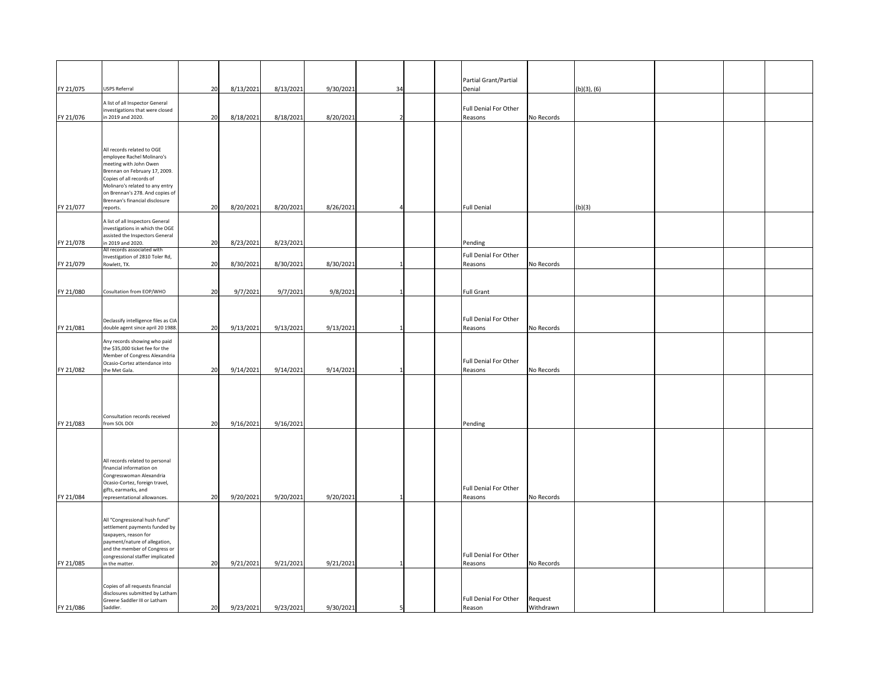|           |                                                                                                                                                                                                                                                                     |    |           |           |           |    |  | Partial Grant/Partial            |                      |                  |  |  |
|-----------|---------------------------------------------------------------------------------------------------------------------------------------------------------------------------------------------------------------------------------------------------------------------|----|-----------|-----------|-----------|----|--|----------------------------------|----------------------|------------------|--|--|
| FY 21/075 | <b>USPS Referral</b>                                                                                                                                                                                                                                                | 20 | 8/13/2021 | 8/13/2021 | 9/30/2021 | 34 |  | Denial                           |                      | $(b)(3)$ , $(6)$ |  |  |
| FY 21/076 | A list of all Inspector General<br>investigations that were closed<br>in 2019 and 2020.                                                                                                                                                                             | 20 | 8/18/2021 | 8/18/2021 | 8/20/2021 |    |  | Full Denial For Other<br>Reasons | No Records           |                  |  |  |
| FY 21/077 | All records related to OGE<br>employee Rachel Molinaro's<br>meeting with John Owen<br>Brennan on February 17, 2009.<br>Copies of all records of<br>Molinaro's related to any entry<br>on Brennan's 278. And copies of<br>Brennan's financial disclosure<br>reports. | 20 | 8/20/2021 | 8/20/2021 | 8/26/2021 |    |  | <b>Full Denial</b>               |                      | (b)(3)           |  |  |
| FY 21/078 | A list of all Inspectors General<br>investigations in which the OGE<br>assisted the Inspectors General<br>in 2019 and 2020.                                                                                                                                         | 20 | 8/23/2021 | 8/23/2021 |           |    |  | Pending                          |                      |                  |  |  |
| FY 21/079 | All records associated with<br>Investigation of 2810 Toler Rd,<br>Rowlett, TX.                                                                                                                                                                                      | 20 | 8/30/2021 | 8/30/2021 | 8/30/2021 |    |  | Full Denial For Other<br>Reasons | No Records           |                  |  |  |
| FY 21/080 | Cosultation from EOP/WHO                                                                                                                                                                                                                                            | 20 | 9/7/2021  | 9/7/2021  | 9/8/2021  |    |  | <b>Full Grant</b>                |                      |                  |  |  |
| FY 21/081 | Declassify intelligence files as CIA<br>double agent since april 20 1988.                                                                                                                                                                                           | 20 | 9/13/2021 | 9/13/2021 | 9/13/2021 |    |  | Full Denial For Other<br>Reasons | No Records           |                  |  |  |
| FY 21/082 | Any records showing who paid<br>the \$35,000 ticket fee for the<br>Member of Congress Alexandria<br>Ocasio-Cortez attendance into<br>the Met Gala.                                                                                                                  | 20 | 9/14/2021 | 9/14/2021 | 9/14/2021 |    |  | Full Denial For Other<br>Reasons | No Records           |                  |  |  |
| FY 21/083 | Consultation records received<br>from SOL DOI                                                                                                                                                                                                                       | 20 | 9/16/2021 | 9/16/2021 |           |    |  | Pending                          |                      |                  |  |  |
| FY 21/084 | All records related to personal<br>financial information on<br>Congresswoman Alexandria<br>Ocasio-Cortez, foreign travel,<br>gifts, earmarks, and<br>representational allowances.                                                                                   | 20 | 9/20/2021 | 9/20/2021 | 9/20/2021 |    |  | Full Denial For Other<br>Reasons | No Records           |                  |  |  |
| FY 21/085 | All "Congressional hush fund"<br>settlement payments funded by<br>taxpayers, reason for<br>payment/nature of allegation,<br>and the member of Congress or<br>congressional staffer implicated<br>in the matter.                                                     | 20 | 9/21/2021 | 9/21/2021 | 9/21/2021 |    |  | Full Denial For Other<br>Reasons | No Records           |                  |  |  |
| FY 21/086 | Copies of all requests financial<br>disclosures submitted by Latham<br>Greene Saddler III or Latham<br>Saddler.                                                                                                                                                     | 20 | 9/23/2021 | 9/23/2021 | 9/30/2021 |    |  | Full Denial For Other<br>Reason  | Request<br>Withdrawn |                  |  |  |